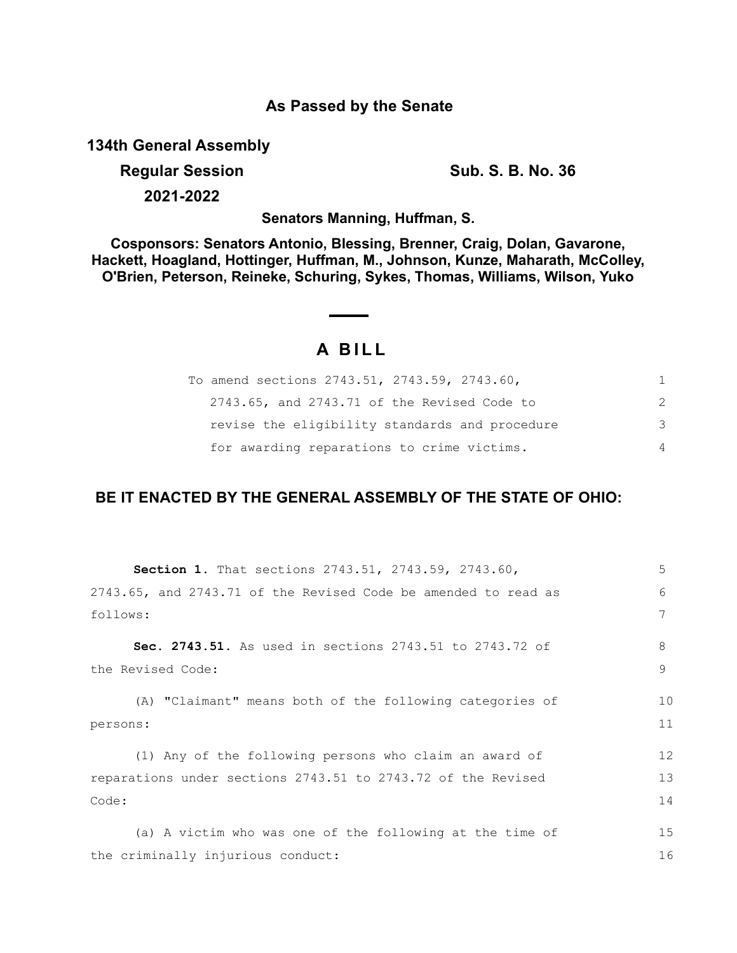## **As Passed by the Senate**

**134th General Assembly**

**Regular Session Sub. S. B. No. 36 Sub. S. B. No. 36** 

**2021-2022**

**Senators Manning, Huffman, S.**

**Cosponsors: Senators Antonio, Blessing, Brenner, Craig, Dolan, Gavarone, Hackett, Hoagland, Hottinger, Huffman, M., Johnson, Kunze, Maharath, McColley, O'Brien, Peterson, Reineke, Schuring, Sykes, Thomas, Williams, Wilson, Yuko**

# **A B I L L**

| To amend sections 2743.51, 2743.59, 2743.60,   |   |
|------------------------------------------------|---|
| 2743.65, and 2743.71 of the Revised Code to    | 2 |
| revise the eligibility standards and procedure | 3 |
| for awarding reparations to crime victims.     | 4 |

# **BE IT ENACTED BY THE GENERAL ASSEMBLY OF THE STATE OF OHIO:**

| <b>Section 1.</b> That sections 2743.51, 2743.59, 2743.60,                   | 5      |
|------------------------------------------------------------------------------|--------|
| 2743.65, and 2743.71 of the Revised Code be amended to read as               | 6      |
| follows:                                                                     | 7      |
| Sec. 2743.51. As used in sections 2743.51 to 2743.72 of<br>the Revised Code: | 8<br>9 |
|                                                                              |        |
| (A) "Claimant" means both of the following categories of                     | 10     |
| persons:                                                                     | 11     |
| (1) Any of the following persons who claim an award of                       | 12     |
| reparations under sections 2743.51 to 2743.72 of the Revised                 | 13     |
| Code:                                                                        | 14     |
|                                                                              |        |
| (a) A victim who was one of the following at the time of                     | 15     |
| the criminally injurious conduct:                                            | 16     |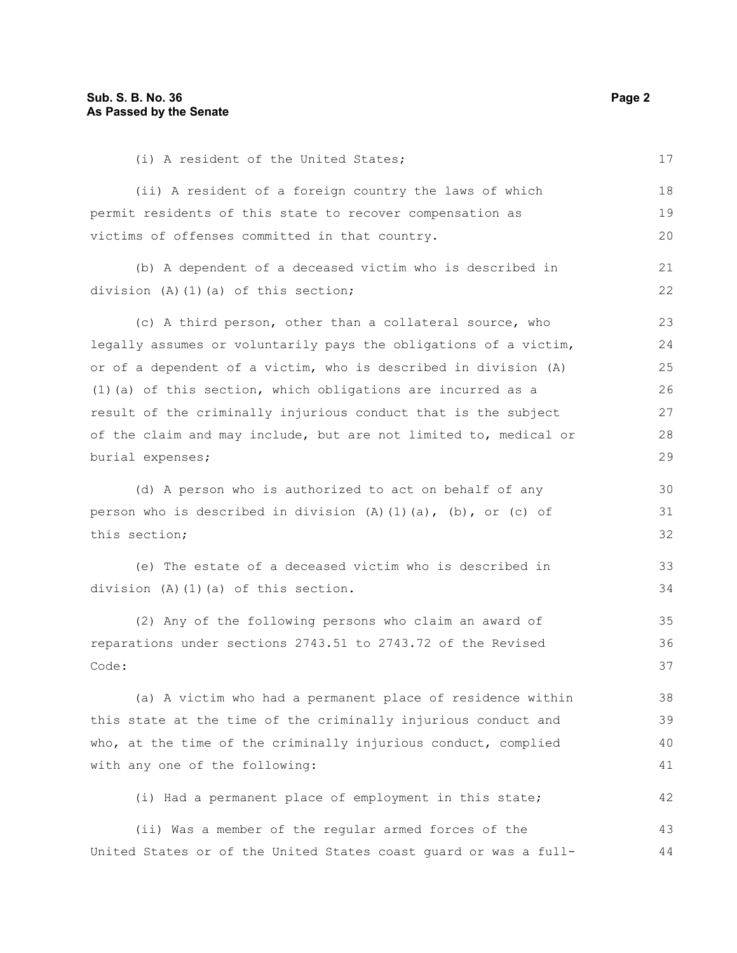(i) A resident of the United States; (ii) A resident of a foreign country the laws of which permit residents of this state to recover compensation as victims of offenses committed in that country. (b) A dependent of a deceased victim who is described in division (A)(1)(a) of this section; (c) A third person, other than a collateral source, who legally assumes or voluntarily pays the obligations of a victim, or of a dependent of a victim, who is described in division (A) (1)(a) of this section, which obligations are incurred as a result of the criminally injurious conduct that is the subject of the claim and may include, but are not limited to, medical or burial expenses; (d) A person who is authorized to act on behalf of any person who is described in division  $(A)$   $(1)$   $(a)$ ,  $(b)$ , or  $(c)$  of this section; (e) The estate of a deceased victim who is described in division (A)(1)(a) of this section. (2) Any of the following persons who claim an award of reparations under sections 2743.51 to 2743.72 of the Revised Code: (a) A victim who had a permanent place of residence within this state at the time of the criminally injurious conduct and who, at the time of the criminally injurious conduct, complied with any one of the following: (i) Had a permanent place of employment in this state; (ii) Was a member of the regular armed forces of the United States or of the United States coast guard or was a full-17 18 19 20 21 22 23 24 25 26 27 28 29 30 31 32 33 34 35 36 37 38 39 40 41 42 43 44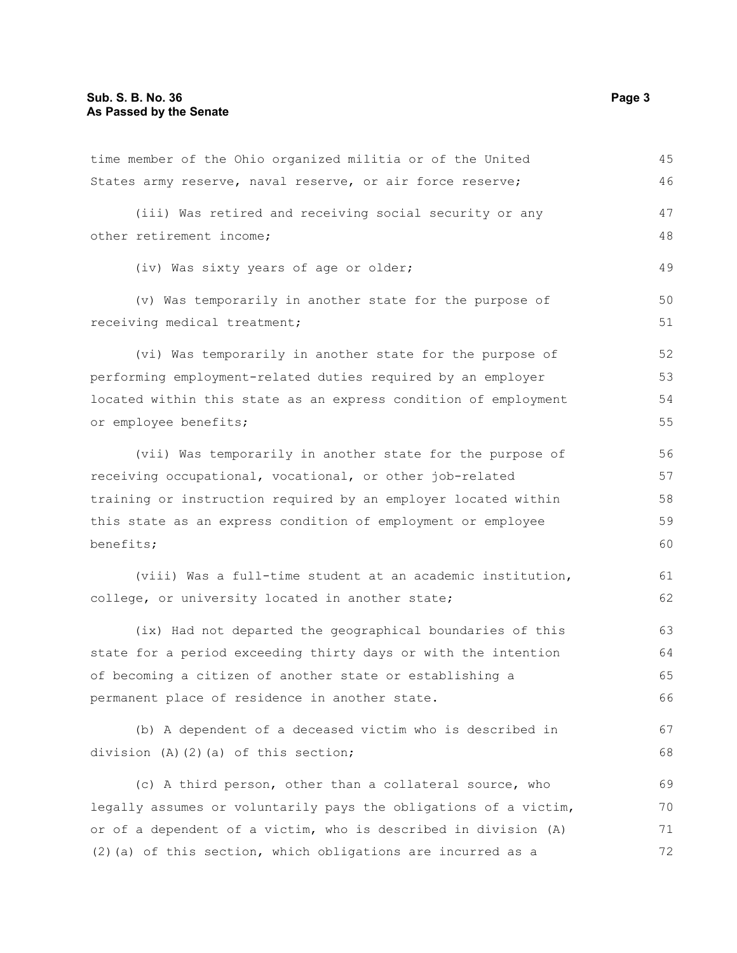| time member of the Ohio organized militia or of the United       | 45 |
|------------------------------------------------------------------|----|
| States army reserve, naval reserve, or air force reserve;        | 46 |
| (iii) Was retired and receiving social security or any           | 47 |
| other retirement income;                                         | 48 |
| (iv) Was sixty years of age or older;                            | 49 |
| (v) Was temporarily in another state for the purpose of          | 50 |
| receiving medical treatment;                                     | 51 |
| (vi) Was temporarily in another state for the purpose of         | 52 |
| performing employment-related duties required by an employer     | 53 |
| located within this state as an express condition of employment  | 54 |
| or employee benefits;                                            | 55 |
| (vii) Was temporarily in another state for the purpose of        | 56 |
| receiving occupational, vocational, or other job-related         | 57 |
| training or instruction required by an employer located within   | 58 |
| this state as an express condition of employment or employee     |    |
| benefits;                                                        | 60 |
| (viii) Was a full-time student at an academic institution,       | 61 |
| college, or university located in another state;                 | 62 |
| (ix) Had not departed the geographical boundaries of this        | 63 |
| state for a period exceeding thirty days or with the intention   | 64 |
| of becoming a citizen of another state or establishing a         | 65 |
| permanent place of residence in another state.                   | 66 |
| (b) A dependent of a deceased victim who is described in         | 67 |
| division (A)(2)(a) of this section;                              | 68 |
| (c) A third person, other than a collateral source, who          | 69 |
| legally assumes or voluntarily pays the obligations of a victim, | 70 |
| or of a dependent of a victim, who is described in division (A)  | 71 |
| (2) (a) of this section, which obligations are incurred as a     | 72 |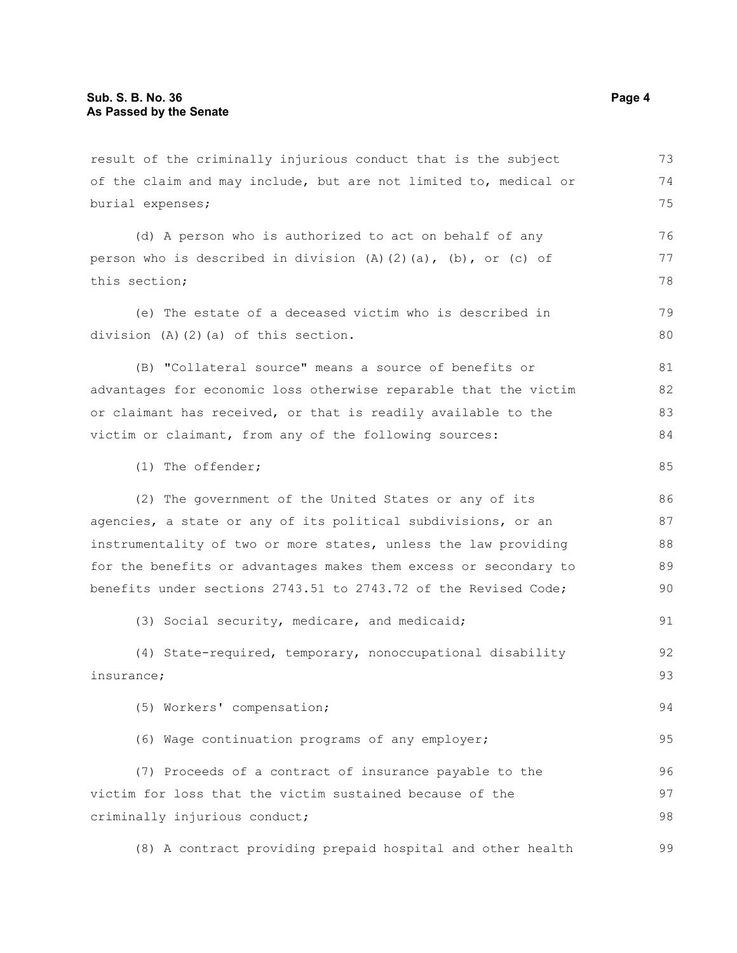result of the criminally injurious conduct that is the subject of the claim and may include, but are not limited to, medical or burial expenses; (d) A person who is authorized to act on behalf of any person who is described in division (A)(2)(a), (b), or (c) of this section; (e) The estate of a deceased victim who is described in division (A)(2)(a) of this section. (B) "Collateral source" means a source of benefits or advantages for economic loss otherwise reparable that the victim or claimant has received, or that is readily available to the victim or claimant, from any of the following sources: (1) The offender; (2) The government of the United States or any of its agencies, a state or any of its political subdivisions, or an instrumentality of two or more states, unless the law providing for the benefits or advantages makes them excess or secondary to benefits under sections 2743.51 to 2743.72 of the Revised Code; (3) Social security, medicare, and medicaid; (4) State-required, temporary, nonoccupational disability insurance; (5) Workers' compensation; (6) Wage continuation programs of any employer; (7) Proceeds of a contract of insurance payable to the victim for loss that the victim sustained because of the criminally injurious conduct; (8) A contract providing prepaid hospital and other health 73 74 75 76 77 78 79 80 81 82 83 84 85 86 87 88 89 90 91 92 93 94 95 96 97 98 99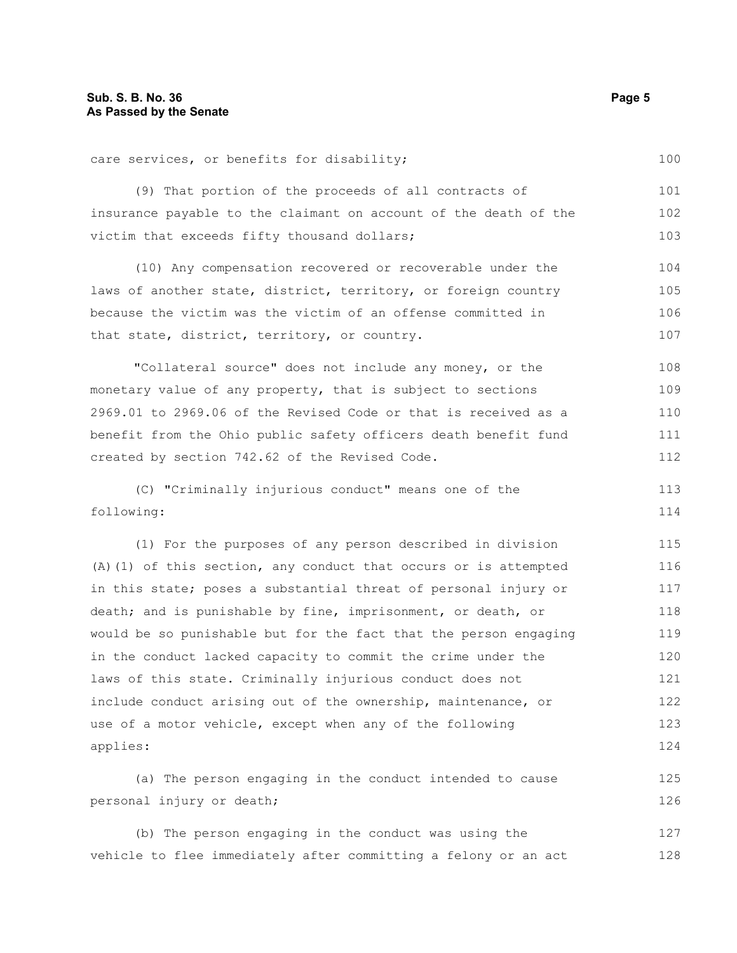| care services, or benefits for disability;                         | 100 |  |
|--------------------------------------------------------------------|-----|--|
| (9) That portion of the proceeds of all contracts of               | 101 |  |
| insurance payable to the claimant on account of the death of the   |     |  |
| victim that exceeds fifty thousand dollars;                        | 103 |  |
| (10) Any compensation recovered or recoverable under the           | 104 |  |
| laws of another state, district, territory, or foreign country     | 105 |  |
| because the victim was the victim of an offense committed in       | 106 |  |
| that state, district, territory, or country.                       | 107 |  |
| "Collateral source" does not include any money, or the             | 108 |  |
| monetary value of any property, that is subject to sections        | 109 |  |
| 2969.01 to 2969.06 of the Revised Code or that is received as a    | 110 |  |
| benefit from the Ohio public safety officers death benefit fund    | 111 |  |
| created by section 742.62 of the Revised Code.                     | 112 |  |
| (C) "Criminally injurious conduct" means one of the                | 113 |  |
| following:                                                         | 114 |  |
| (1) For the purposes of any person described in division           | 115 |  |
| $(A)$ (1) of this section, any conduct that occurs or is attempted | 116 |  |
| in this state; poses a substantial threat of personal injury or    | 117 |  |
| death; and is punishable by fine, imprisonment, or death, or       | 118 |  |
| would be so punishable but for the fact that the person engaging   | 119 |  |
| in the conduct lacked capacity to commit the crime under the       | 120 |  |
| laws of this state. Criminally injurious conduct does not          | 121 |  |
| include conduct arising out of the ownership, maintenance, or      | 122 |  |
| use of a motor vehicle, except when any of the following           | 123 |  |
| applies:                                                           | 124 |  |
| (a) The person engaging in the conduct intended to cause           | 125 |  |
| personal injury or death;                                          | 126 |  |

(b) The person engaging in the conduct was using the vehicle to flee immediately after committing a felony or an act 127 128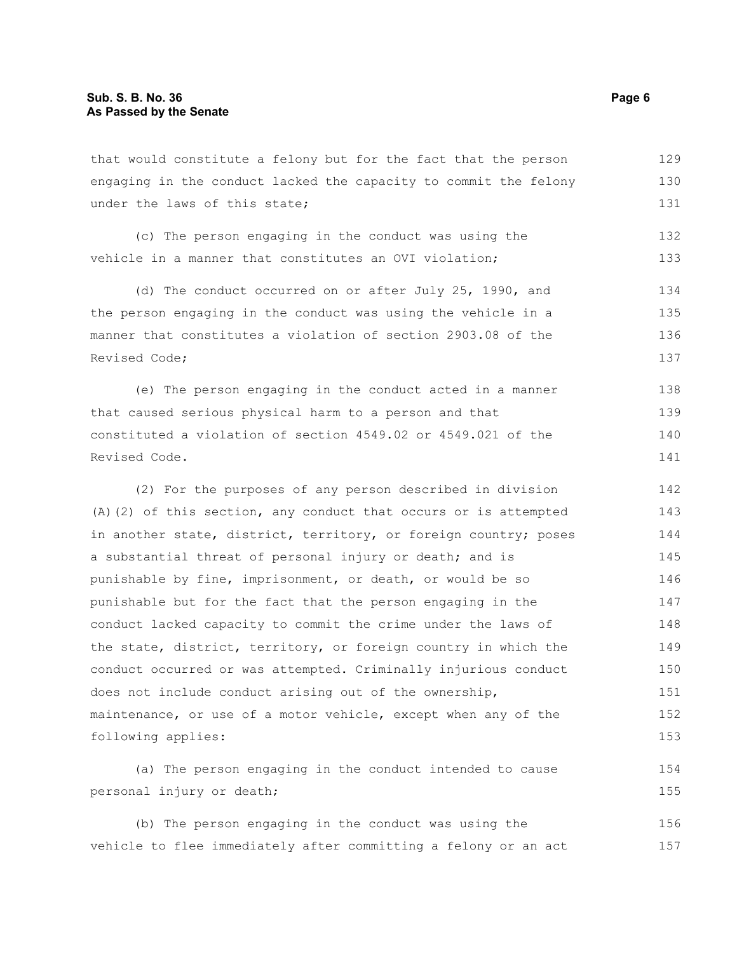that would constitute a felony but for the fact that the person engaging in the conduct lacked the capacity to commit the felony under the laws of this state; 129 130 131

(c) The person engaging in the conduct was using the vehicle in a manner that constitutes an OVI violation; 132 133

(d) The conduct occurred on or after July 25, 1990, and the person engaging in the conduct was using the vehicle in a manner that constitutes a violation of section 2903.08 of the Revised Code; 134 135 136 137

(e) The person engaging in the conduct acted in a manner that caused serious physical harm to a person and that constituted a violation of section 4549.02 or 4549.021 of the Revised Code. 138 139 140 141

(2) For the purposes of any person described in division (A)(2) of this section, any conduct that occurs or is attempted in another state, district, territory, or foreign country; poses a substantial threat of personal injury or death; and is punishable by fine, imprisonment, or death, or would be so punishable but for the fact that the person engaging in the conduct lacked capacity to commit the crime under the laws of the state, district, territory, or foreign country in which the conduct occurred or was attempted. Criminally injurious conduct does not include conduct arising out of the ownership, maintenance, or use of a motor vehicle, except when any of the following applies: 142 143 144 145 146 147 148 149 150 151 152 153

(a) The person engaging in the conduct intended to cause personal injury or death; 154 155

(b) The person engaging in the conduct was using the vehicle to flee immediately after committing a felony or an act 156 157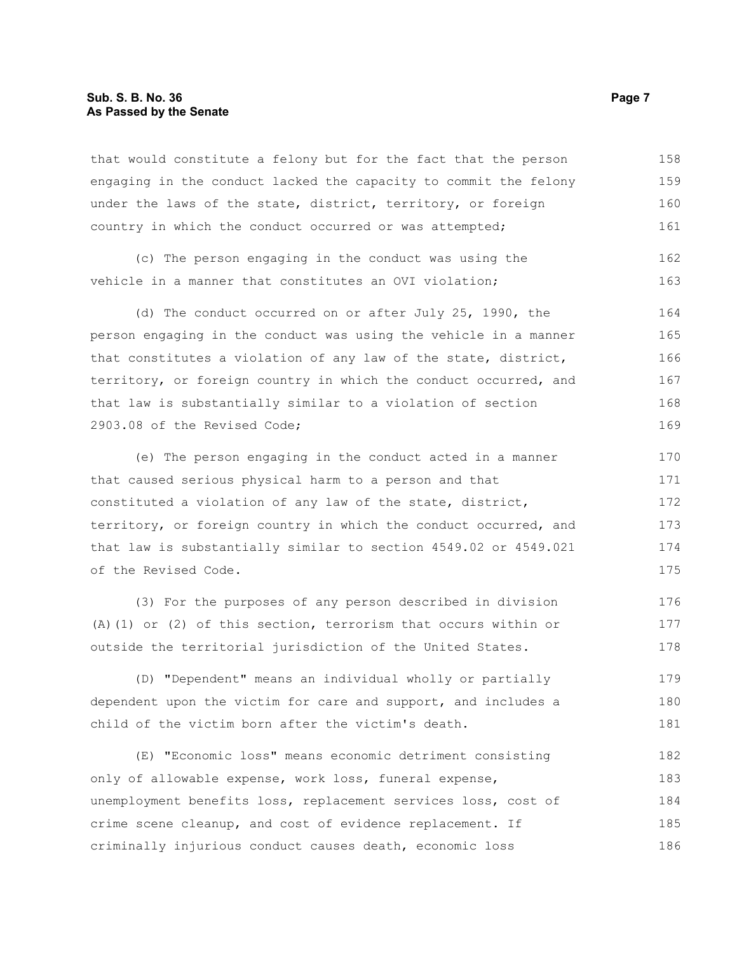#### **Sub. S. B. No. 36** Page 7 **As Passed by the Senate**

that would constitute a felony but for the fact that the person engaging in the conduct lacked the capacity to commit the felony under the laws of the state, district, territory, or foreign country in which the conduct occurred or was attempted; 158 159 160 161

(c) The person engaging in the conduct was using the vehicle in a manner that constitutes an OVI violation; 162 163

(d) The conduct occurred on or after July 25, 1990, the person engaging in the conduct was using the vehicle in a manner that constitutes a violation of any law of the state, district, territory, or foreign country in which the conduct occurred, and that law is substantially similar to a violation of section 2903.08 of the Revised Code; 164 165 166 167 168 169

(e) The person engaging in the conduct acted in a manner that caused serious physical harm to a person and that constituted a violation of any law of the state, district, territory, or foreign country in which the conduct occurred, and that law is substantially similar to section 4549.02 or 4549.021 of the Revised Code.

(3) For the purposes of any person described in division (A)(1) or (2) of this section, terrorism that occurs within or outside the territorial jurisdiction of the United States. 176 177 178

(D) "Dependent" means an individual wholly or partially dependent upon the victim for care and support, and includes a child of the victim born after the victim's death. 179 180 181

(E) "Economic loss" means economic detriment consisting only of allowable expense, work loss, funeral expense, unemployment benefits loss, replacement services loss, cost of crime scene cleanup, and cost of evidence replacement. If criminally injurious conduct causes death, economic loss 182 183 184 185 186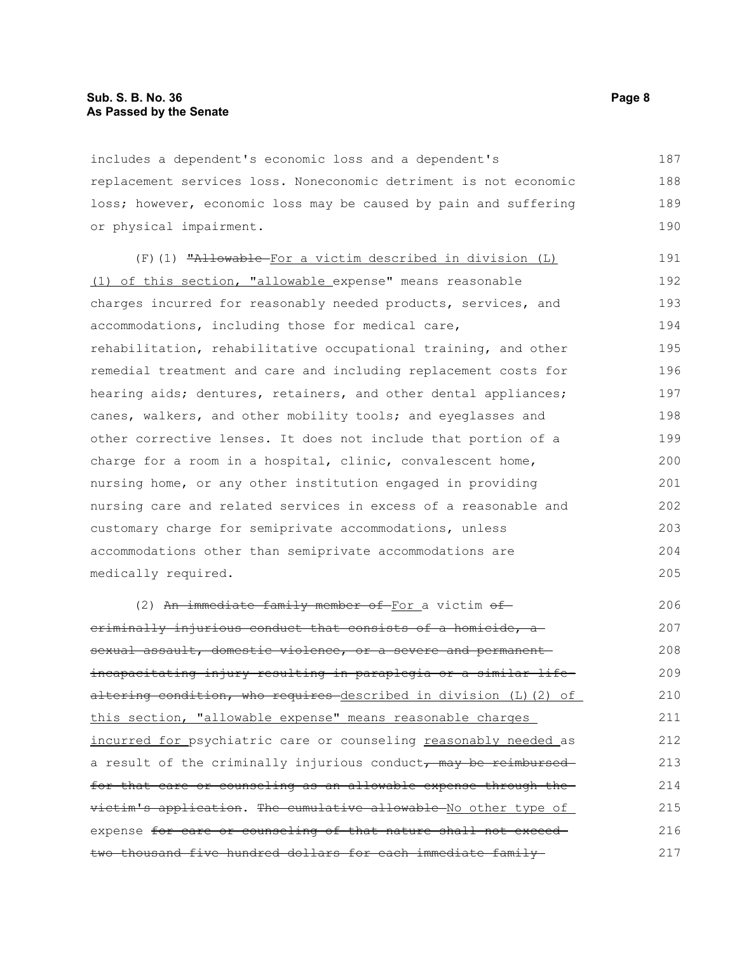includes a dependent's economic loss and a dependent's replacement services loss. Noneconomic detriment is not economic loss; however, economic loss may be caused by pain and suffering or physical impairment. 187 188 189 190

(F)(1) "Allowable For a victim described in division (L) (1) of this section, "allowable expense" means reasonable charges incurred for reasonably needed products, services, and accommodations, including those for medical care, rehabilitation, rehabilitative occupational training, and other remedial treatment and care and including replacement costs for hearing aids; dentures, retainers, and other dental appliances; canes, walkers, and other mobility tools; and eyeglasses and other corrective lenses. It does not include that portion of a charge for a room in a hospital, clinic, convalescent home, nursing home, or any other institution engaged in providing nursing care and related services in excess of a reasonable and customary charge for semiprivate accommodations, unless accommodations other than semiprivate accommodations are medically required. 191 192 193 194 195 196 197 198 199 200 201 202 203 204 205

(2) An immediate family member of For a victim  $\theta$ fcriminally injurious conduct that consists of a homicide, a sexual assault, domestic violence, or a severe and permanent incapacitating injury resulting in paraplegia or a similar lifealtering condition, who requires described in division (L)(2) of this section, "allowable expense" means reasonable charges incurred for psychiatric care or counseling reasonably needed as a result of the criminally injurious conduct, may be reimbursed for that care or counseling as an allowable expense through the victim's application. The cumulative allowable No other type of expense for care or counseling of that nature shall not exceedtwo thousand five hundred dollars for each immediate family 206 207 208 209 210 211 212 213 214 215 216 217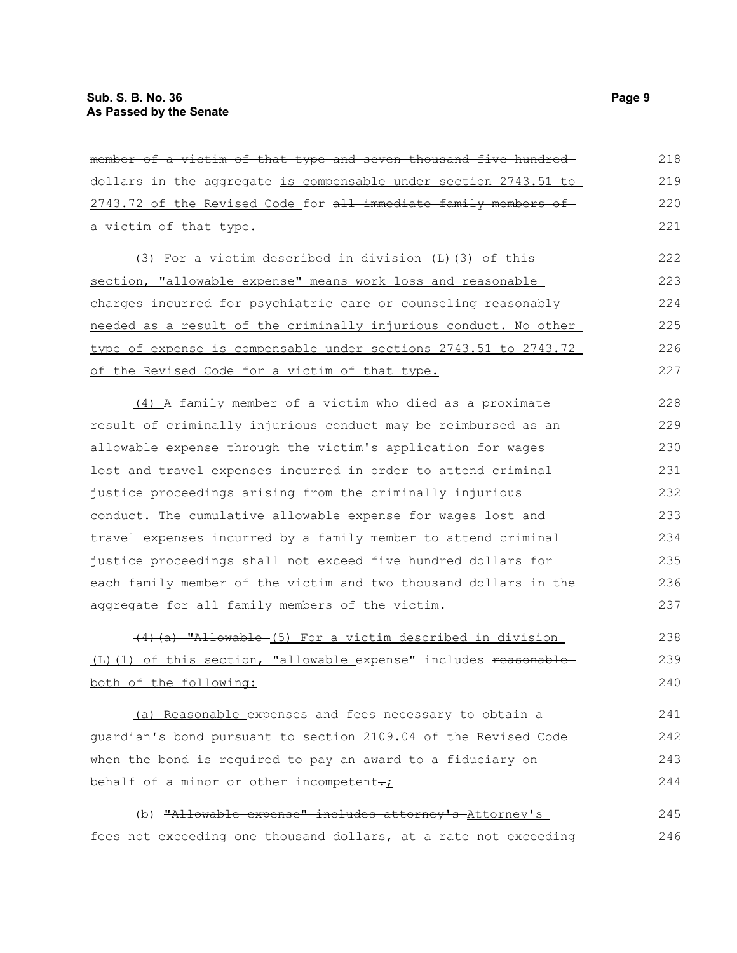| member of a victim of that type and seven thousand five hundred  | 218 |
|------------------------------------------------------------------|-----|
| dollars in the aggregate is compensable under section 2743.51 to | 219 |
| 2743.72 of the Revised Code for all immediate family members of  | 220 |
| a victim of that type.                                           | 221 |
| (3) For a victim described in division (L) (3) of this           | 222 |
| section, "allowable expense" means work loss and reasonable      | 223 |
| charges incurred for psychiatric care or counseling reasonably   | 224 |
| needed as a result of the criminally injurious conduct. No other | 225 |
| type of expense is compensable under sections 2743.51 to 2743.72 | 226 |
| of the Revised Code for a victim of that type.                   | 227 |
| (4) A family member of a victim who died as a proximate          | 228 |
| result of criminally injurious conduct may be reimbursed as an   | 229 |
| allowable expense through the victim's application for wages     | 230 |
| lost and travel expenses incurred in order to attend criminal    | 231 |
| justice proceedings arising from the criminally injurious        | 232 |
| conduct. The cumulative allowable expense for wages lost and     | 233 |
| travel expenses incurred by a family member to attend criminal   | 234 |
| justice proceedings shall not exceed five hundred dollars for    | 235 |
| each family member of the victim and two thousand dollars in the | 236 |
| aggregate for all family members of the victim.                  | 237 |
| (4) (a) "Allowable (5) For a victim described in division        | 238 |
| (L)(1) of this section, "allowable expense" includes reasonable  | 239 |
| both of the following:                                           | 240 |

(a) Reasonable expenses and fees necessary to obtain a guardian's bond pursuant to section 2109.04 of the Revised Code when the bond is required to pay an award to a fiduciary on behalf of a minor or other incompetent $\div$ 241 242 243 244

(b) "Allowable expense" includes attorney's Attorney's fees not exceeding one thousand dollars, at a rate not exceeding 245 246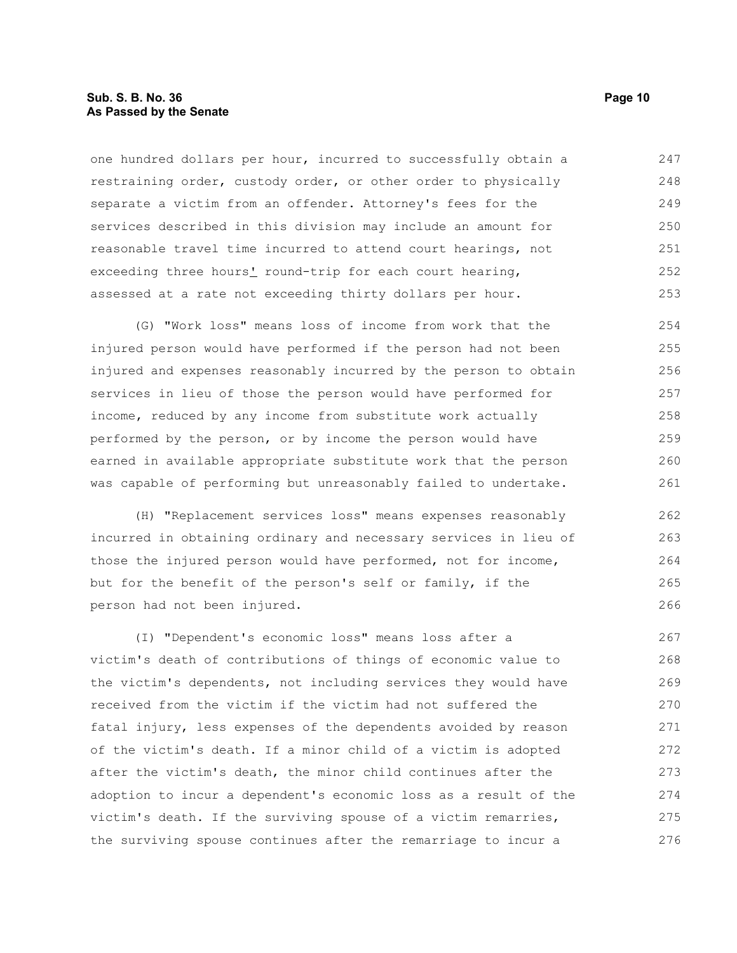#### **Sub. S. B. No. 36 Page 10 As Passed by the Senate**

one hundred dollars per hour, incurred to successfully obtain a restraining order, custody order, or other order to physically separate a victim from an offender. Attorney's fees for the services described in this division may include an amount for reasonable travel time incurred to attend court hearings, not exceeding three hours' round-trip for each court hearing, assessed at a rate not exceeding thirty dollars per hour. 247 248 249 250 251 252 253

(G) "Work loss" means loss of income from work that the injured person would have performed if the person had not been injured and expenses reasonably incurred by the person to obtain services in lieu of those the person would have performed for income, reduced by any income from substitute work actually performed by the person, or by income the person would have earned in available appropriate substitute work that the person was capable of performing but unreasonably failed to undertake. 254 255 256 257 258 259 260 261

(H) "Replacement services loss" means expenses reasonably incurred in obtaining ordinary and necessary services in lieu of those the injured person would have performed, not for income, but for the benefit of the person's self or family, if the person had not been injured.

(I) "Dependent's economic loss" means loss after a victim's death of contributions of things of economic value to the victim's dependents, not including services they would have received from the victim if the victim had not suffered the fatal injury, less expenses of the dependents avoided by reason of the victim's death. If a minor child of a victim is adopted after the victim's death, the minor child continues after the adoption to incur a dependent's economic loss as a result of the victim's death. If the surviving spouse of a victim remarries, the surviving spouse continues after the remarriage to incur a 267 268 269 270 271 272 273 274 275 276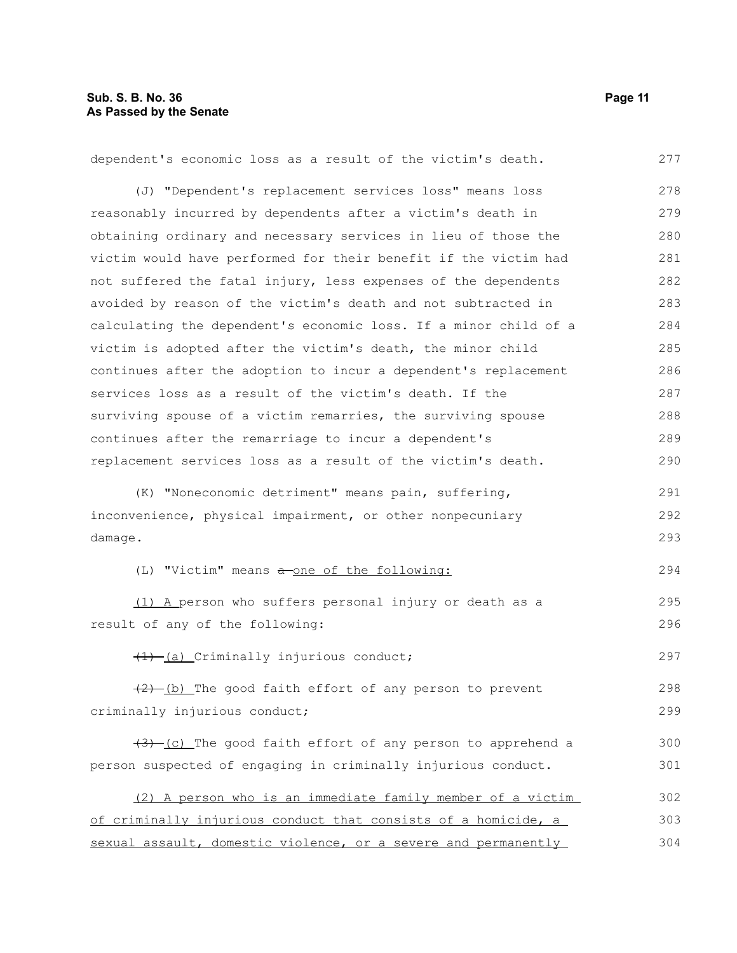dependent's economic loss as a result of the victim's death. (J) "Dependent's replacement services loss" means loss reasonably incurred by dependents after a victim's death in obtaining ordinary and necessary services in lieu of those the victim would have performed for their benefit if the victim had not suffered the fatal injury, less expenses of the dependents avoided by reason of the victim's death and not subtracted in calculating the dependent's economic loss. If a minor child of a victim is adopted after the victim's death, the minor child continues after the adoption to incur a dependent's replacement services loss as a result of the victim's death. If the surviving spouse of a victim remarries, the surviving spouse continues after the remarriage to incur a dependent's replacement services loss as a result of the victim's death. (K) "Noneconomic detriment" means pain, suffering, inconvenience, physical impairment, or other nonpecuniary damage. (L) "Victim" means a one of the following: (1) A person who suffers personal injury or death as a result of any of the following:  $(1)$  (a) Criminally injurious conduct;  $(2)$  (b) The good faith effort of any person to prevent criminally injurious conduct;  $(3)$  (c) The good faith effort of any person to apprehend a person suspected of engaging in criminally injurious conduct. (2) A person who is an immediate family member of a victim of criminally injurious conduct that consists of a homicide, a 277 278 279 280 281 282 283 284 285 286 287 288 289 290 291 292 293 294 295 296 297 298 299 300 301 302 303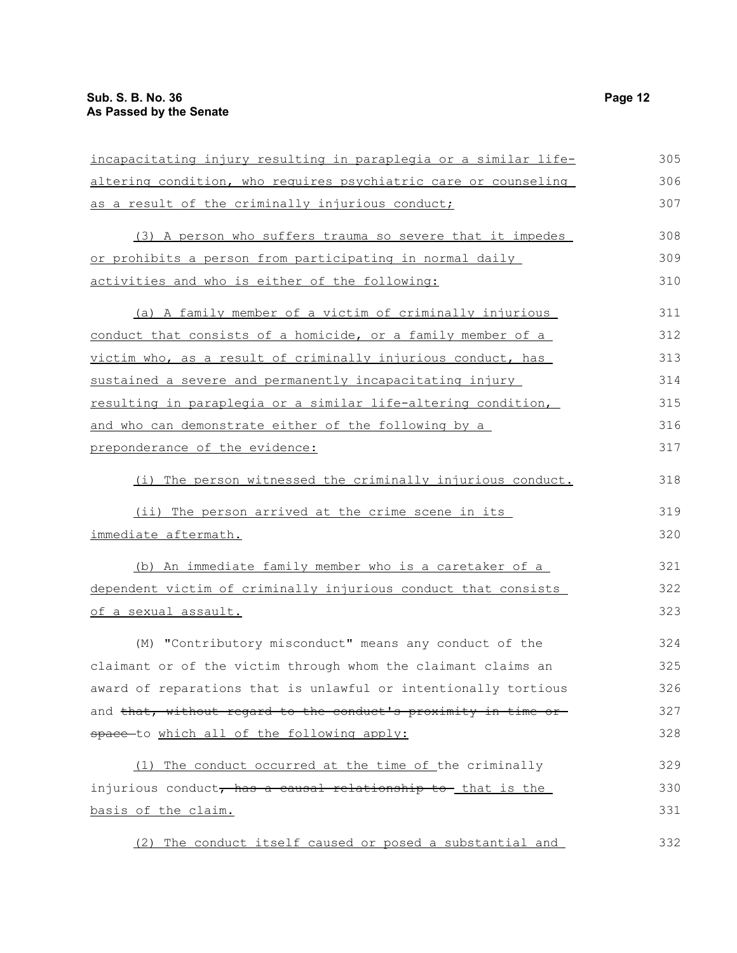| incapacitating injury resulting in paraplegia or a similar life- | 305 |  |
|------------------------------------------------------------------|-----|--|
| altering condition, who requires psychiatric care or counseling  |     |  |
| as a result of the criminally injurious conduct;                 |     |  |
| (3) A person who suffers trauma so severe that it impedes        | 308 |  |
| or prohibits a person from participating in normal daily         | 309 |  |
| activities and who is either of the following:                   | 310 |  |
| (a) A family member of a victim of criminally injurious          | 311 |  |
| conduct that consists of a homicide, or a family member of a     | 312 |  |
| victim who, as a result of criminally injurious conduct, has     | 313 |  |
| sustained a severe and permanently incapacitating injury         | 314 |  |
| resulting in paraplegia or a similar life-altering condition,    | 315 |  |
| and who can demonstrate either of the following by a             | 316 |  |
| preponderance of the evidence:                                   |     |  |
| The person witnessed the criminally injurious conduct.<br>(i)    | 318 |  |
| (ii) The person arrived at the crime scene in its                | 319 |  |
| immediate aftermath.                                             | 320 |  |
| (b) An immediate family member who is a caretaker of a           | 321 |  |
| dependent victim of criminally injurious conduct that consists   |     |  |
| of a sexual assault.                                             | 323 |  |
| (M) "Contributory misconduct" means any conduct of the           | 324 |  |
| claimant or of the victim through whom the claimant claims an    | 325 |  |
| award of reparations that is unlawful or intentionally tortious  | 326 |  |
| and that, without regard to the conduct's proximity in time or-  | 327 |  |
| space-to which all of the following apply:                       | 328 |  |
| (1) The conduct occurred at the time of the criminally           | 329 |  |
| injurious conduct, has a causal relationship to that is the      |     |  |
| basis of the claim.                                              | 331 |  |
| (2) The conduct itself caused or posed a substantial and         | 332 |  |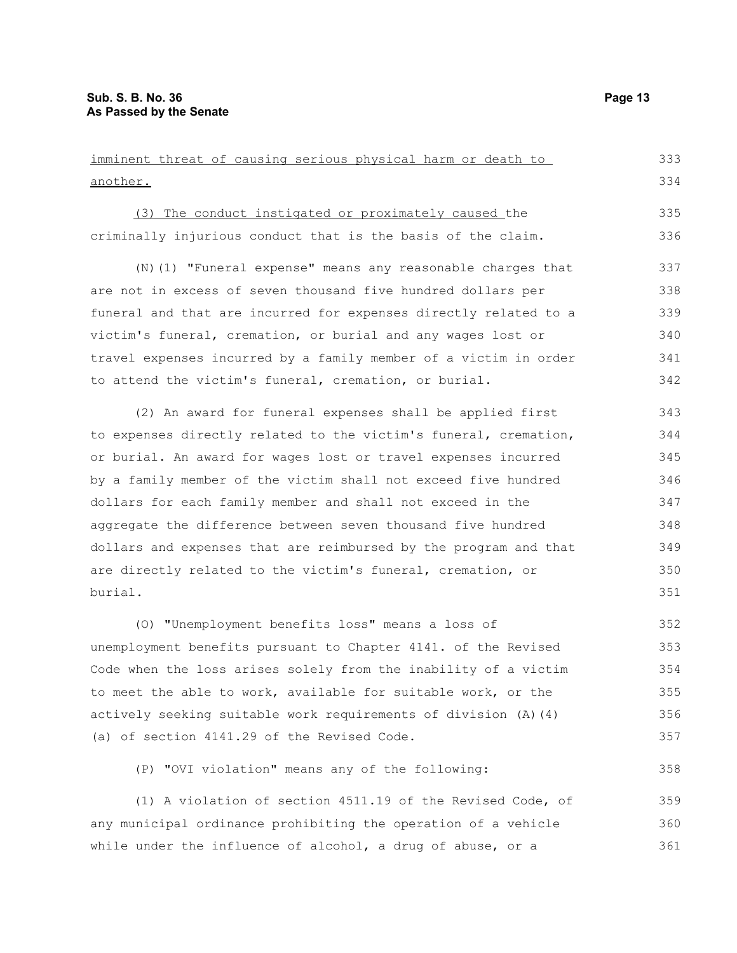| imminent threat of causing serious physical harm or death to     | 333 |
|------------------------------------------------------------------|-----|
| another.                                                         | 334 |
| (3) The conduct instigated or proximately caused the             | 335 |
| criminally injurious conduct that is the basis of the claim.     | 336 |
| (N) (1) "Funeral expense" means any reasonable charges that      | 337 |
| are not in excess of seven thousand five hundred dollars per     | 338 |
| funeral and that are incurred for expenses directly related to a | 339 |
| victim's funeral, cremation, or burial and any wages lost or     | 340 |
| travel expenses incurred by a family member of a victim in order | 341 |
| to attend the victim's funeral, cremation, or burial.            | 342 |
| (2) An award for funeral expenses shall be applied first         | 343 |
| to expenses directly related to the victim's funeral, cremation, | 344 |
| or burial. An award for wages lost or travel expenses incurred   | 345 |
| by a family member of the victim shall not exceed five hundred   | 346 |
| dollars for each family member and shall not exceed in the       | 347 |
| aggregate the difference between seven thousand five hundred     | 348 |
| dollars and expenses that are reimbursed by the program and that | 349 |
| are directly related to the victim's funeral, cremation, or      | 350 |
| burial.                                                          | 351 |
| (0) "Unemployment benefits loss" means a loss of                 | 352 |
| unemployment benefits pursuant to Chapter 4141. of the Revised   | 353 |
| Code when the loss arises solely from the inability of a victim  | 354 |
| to meet the able to work, available for suitable work, or the    | 355 |
| actively seeking suitable work requirements of division (A) (4)  | 356 |

(a) of section 4141.29 of the Revised Code.

(P) "OVI violation" means any of the following:

(1) A violation of section 4511.19 of the Revised Code, of any municipal ordinance prohibiting the operation of a vehicle while under the influence of alcohol, a drug of abuse, or a 359 360 361

357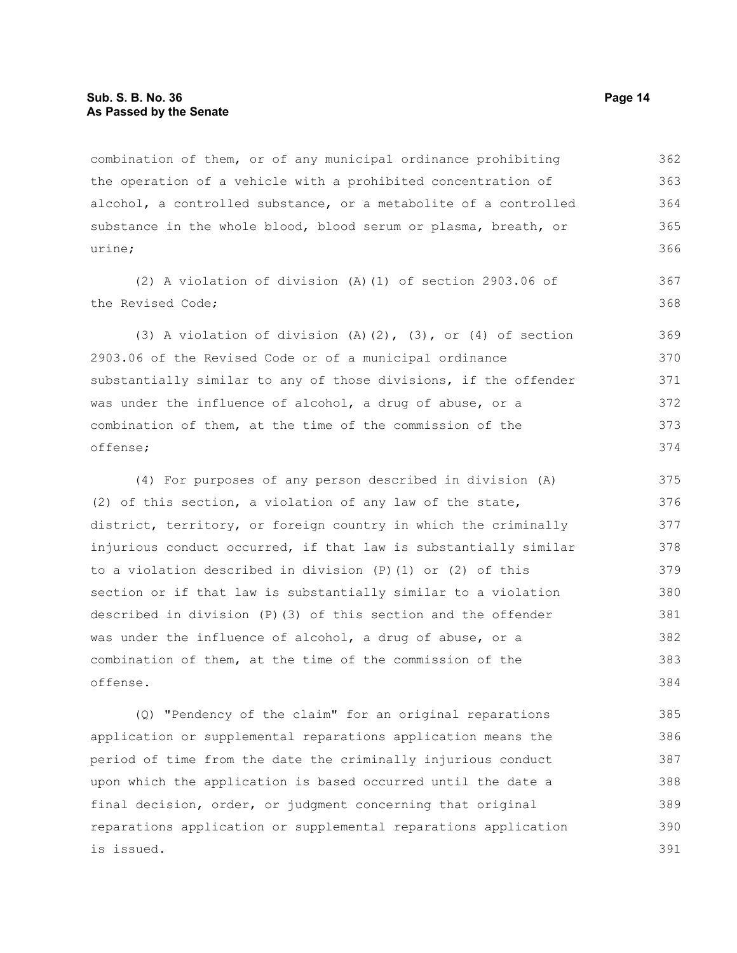combination of them, or of any municipal ordinance prohibiting the operation of a vehicle with a prohibited concentration of alcohol, a controlled substance, or a metabolite of a controlled substance in the whole blood, blood serum or plasma, breath, or urine; 362 363 364 365 366

(2) A violation of division (A)(1) of section 2903.06 of the Revised Code;

(3) A violation of division  $(A)$   $(2)$ ,  $(3)$ , or  $(4)$  of section 2903.06 of the Revised Code or of a municipal ordinance substantially similar to any of those divisions, if the offender was under the influence of alcohol, a drug of abuse, or a combination of them, at the time of the commission of the offense; 369 370 371 372 373 374

(4) For purposes of any person described in division (A) (2) of this section, a violation of any law of the state, district, territory, or foreign country in which the criminally injurious conduct occurred, if that law is substantially similar to a violation described in division (P)(1) or (2) of this section or if that law is substantially similar to a violation described in division (P)(3) of this section and the offender was under the influence of alcohol, a drug of abuse, or a combination of them, at the time of the commission of the offense. 375 376 377 378 379 380 381 382 383 384

(Q) "Pendency of the claim" for an original reparations application or supplemental reparations application means the period of time from the date the criminally injurious conduct upon which the application is based occurred until the date a final decision, order, or judgment concerning that original reparations application or supplemental reparations application is issued. 385 386 387 388 389 390 391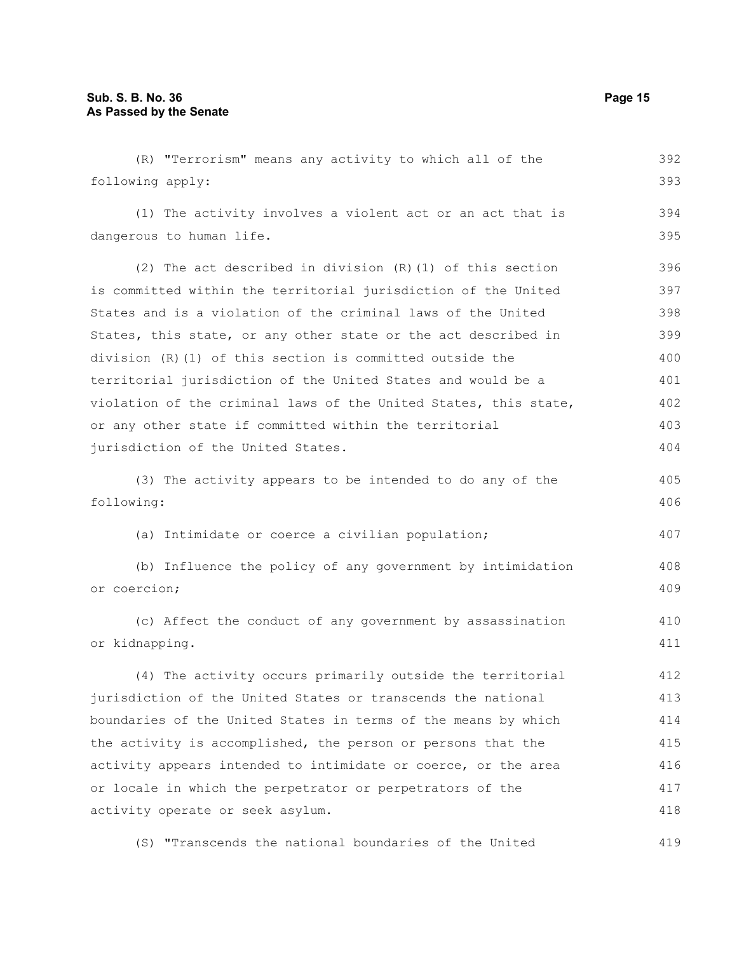| (R) "Terrorism" means any activity to which all of the           | 392 |
|------------------------------------------------------------------|-----|
| following apply:                                                 | 393 |
| (1) The activity involves a violent act or an act that is        | 394 |
| dangerous to human life.                                         | 395 |
| (2) The act described in division $(R)$ (1) of this section      | 396 |
| is committed within the territorial jurisdiction of the United   | 397 |
| States and is a violation of the criminal laws of the United     | 398 |
| States, this state, or any other state or the act described in   | 399 |
| division (R) (1) of this section is committed outside the        | 400 |
| territorial jurisdiction of the United States and would be a     | 401 |
| violation of the criminal laws of the United States, this state, | 402 |
| or any other state if committed within the territorial           | 403 |
| jurisdiction of the United States.                               | 404 |
| (3) The activity appears to be intended to do any of the         | 405 |
| following:                                                       | 406 |
| (a) Intimidate or coerce a civilian population;                  | 407 |
| (b) Influence the policy of any government by intimidation       | 408 |
| or coercion;                                                     | 409 |
| (c) Affect the conduct of any government by assassination        | 410 |
| or kidnapping.                                                   | 411 |
| (4) The activity occurs primarily outside the territorial        | 412 |
| jurisdiction of the United States or transcends the national     | 413 |
| boundaries of the United States in terms of the means by which   | 414 |
| the activity is accomplished, the person or persons that the     | 415 |
| activity appears intended to intimidate or coerce, or the area   | 416 |
| or locale in which the perpetrator or perpetrators of the        | 417 |
| activity operate or seek asylum.                                 | 418 |
| (S) "Transcends the national boundaries of the United            | 419 |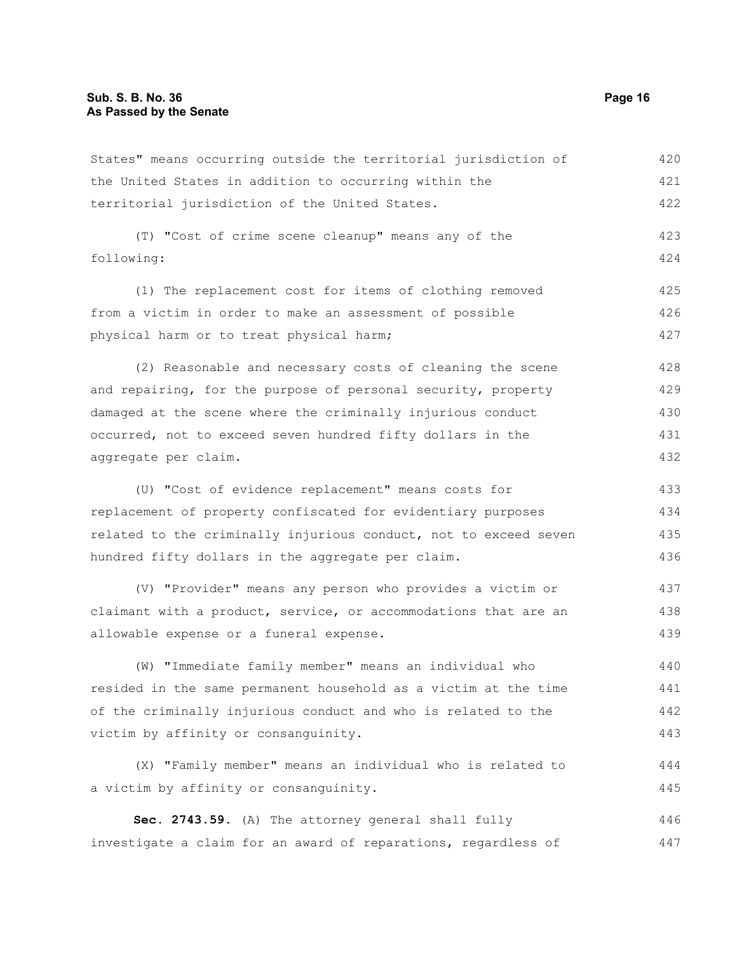States" means occurring outside the territorial jurisdiction of the United States in addition to occurring within the territorial jurisdiction of the United States. 420 421 422

(T) "Cost of crime scene cleanup" means any of the following: 423 424

(1) The replacement cost for items of clothing removed from a victim in order to make an assessment of possible physical harm or to treat physical harm; 425 426 427

(2) Reasonable and necessary costs of cleaning the scene and repairing, for the purpose of personal security, property damaged at the scene where the criminally injurious conduct occurred, not to exceed seven hundred fifty dollars in the aggregate per claim. 428 429 430 431 432

(U) "Cost of evidence replacement" means costs for replacement of property confiscated for evidentiary purposes related to the criminally injurious conduct, not to exceed seven hundred fifty dollars in the aggregate per claim. 433 434 435 436

(V) "Provider" means any person who provides a victim or claimant with a product, service, or accommodations that are an allowable expense or a funeral expense. 437 438 439

(W) "Immediate family member" means an individual who resided in the same permanent household as a victim at the time of the criminally injurious conduct and who is related to the victim by affinity or consanguinity. 440 441 442 443

(X) "Family member" means an individual who is related to a victim by affinity or consanguinity. 444 445

**Sec. 2743.59.** (A) The attorney general shall fully investigate a claim for an award of reparations, regardless of 446 447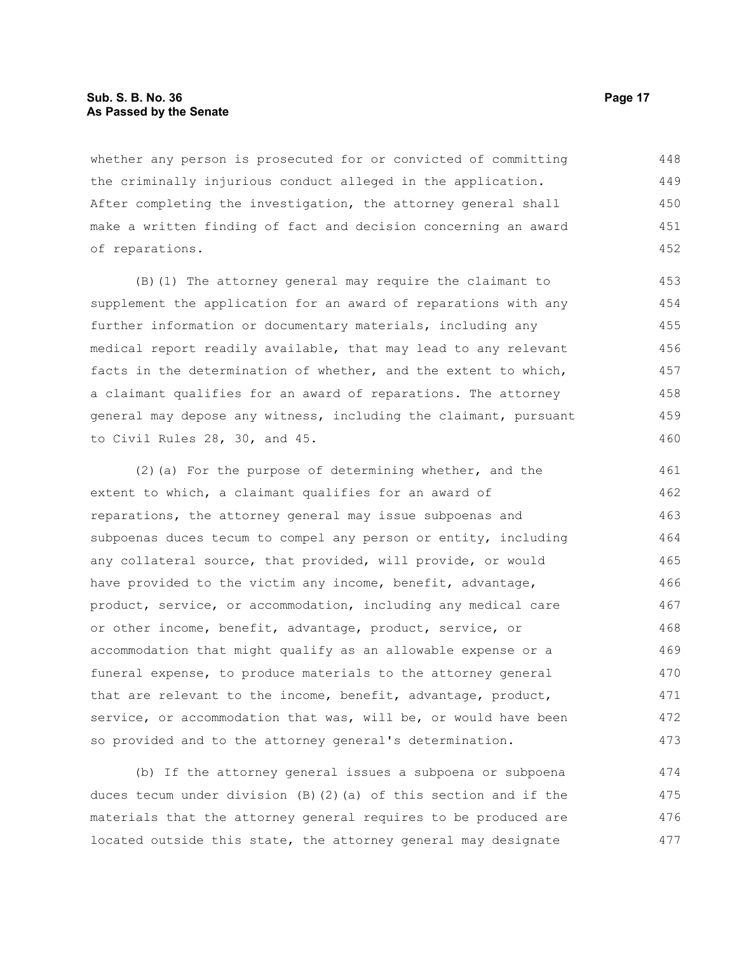#### **Sub. S. B. No. 36 Page 17 As Passed by the Senate**

whether any person is prosecuted for or convicted of committing the criminally injurious conduct alleged in the application. After completing the investigation, the attorney general shall make a written finding of fact and decision concerning an award of reparations. 448 449 450 451 452

(B)(1) The attorney general may require the claimant to supplement the application for an award of reparations with any further information or documentary materials, including any medical report readily available, that may lead to any relevant facts in the determination of whether, and the extent to which, a claimant qualifies for an award of reparations. The attorney general may depose any witness, including the claimant, pursuant to Civil Rules 28, 30, and 45.

(2)(a) For the purpose of determining whether, and the extent to which, a claimant qualifies for an award of reparations, the attorney general may issue subpoenas and subpoenas duces tecum to compel any person or entity, including any collateral source, that provided, will provide, or would have provided to the victim any income, benefit, advantage, product, service, or accommodation, including any medical care or other income, benefit, advantage, product, service, or accommodation that might qualify as an allowable expense or a funeral expense, to produce materials to the attorney general that are relevant to the income, benefit, advantage, product, service, or accommodation that was, will be, or would have been so provided and to the attorney general's determination. 461 462 463 464 465 466 467 468 469 470 471 472 473

(b) If the attorney general issues a subpoena or subpoena duces tecum under division (B)(2)(a) of this section and if the materials that the attorney general requires to be produced are located outside this state, the attorney general may designate 474 475 476 477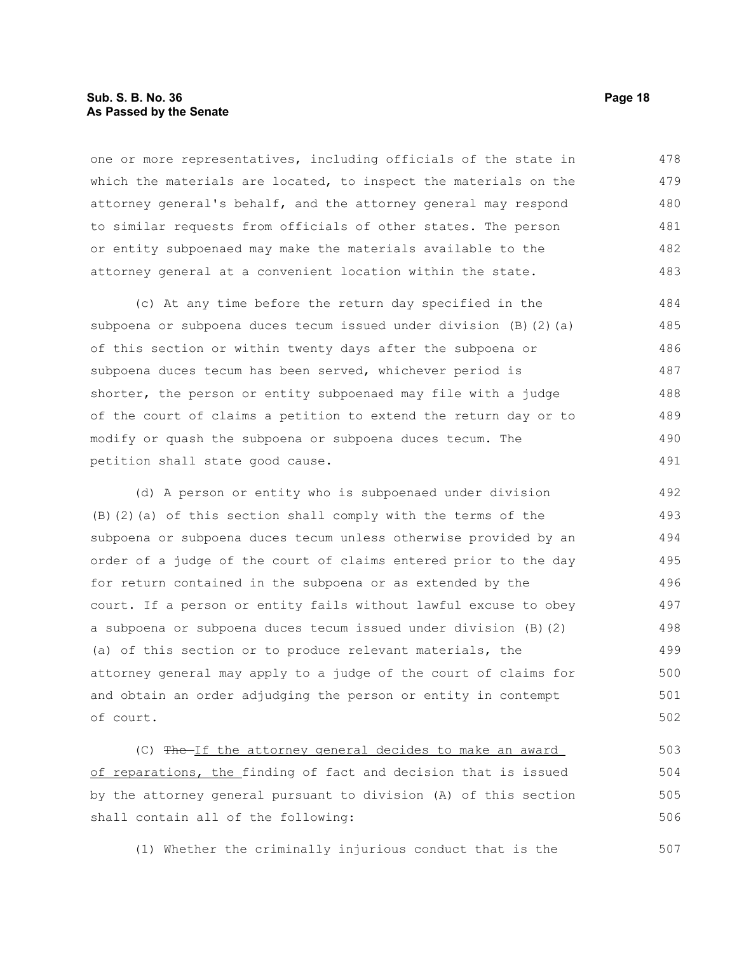#### **Sub. S. B. No. 36 Page 18 As Passed by the Senate**

one or more representatives, including officials of the state in which the materials are located, to inspect the materials on the attorney general's behalf, and the attorney general may respond to similar requests from officials of other states. The person or entity subpoenaed may make the materials available to the attorney general at a convenient location within the state. 478 479 480 481 482 483

(c) At any time before the return day specified in the subpoena or subpoena duces tecum issued under division (B)(2)(a) of this section or within twenty days after the subpoena or subpoena duces tecum has been served, whichever period is shorter, the person or entity subpoenaed may file with a judge of the court of claims a petition to extend the return day or to modify or quash the subpoena or subpoena duces tecum. The petition shall state good cause. 484 485 486 487 488 489 490 491

(d) A person or entity who is subpoenaed under division (B)(2)(a) of this section shall comply with the terms of the subpoena or subpoena duces tecum unless otherwise provided by an order of a judge of the court of claims entered prior to the day for return contained in the subpoena or as extended by the court. If a person or entity fails without lawful excuse to obey a subpoena or subpoena duces tecum issued under division (B)(2) (a) of this section or to produce relevant materials, the attorney general may apply to a judge of the court of claims for and obtain an order adjudging the person or entity in contempt of court. 492 493 494 495 496 497 498 499 500 501 502

(C) The If the attorney general decides to make an award of reparations, the finding of fact and decision that is issued by the attorney general pursuant to division (A) of this section shall contain all of the following: 503 504 505 506

(1) Whether the criminally injurious conduct that is the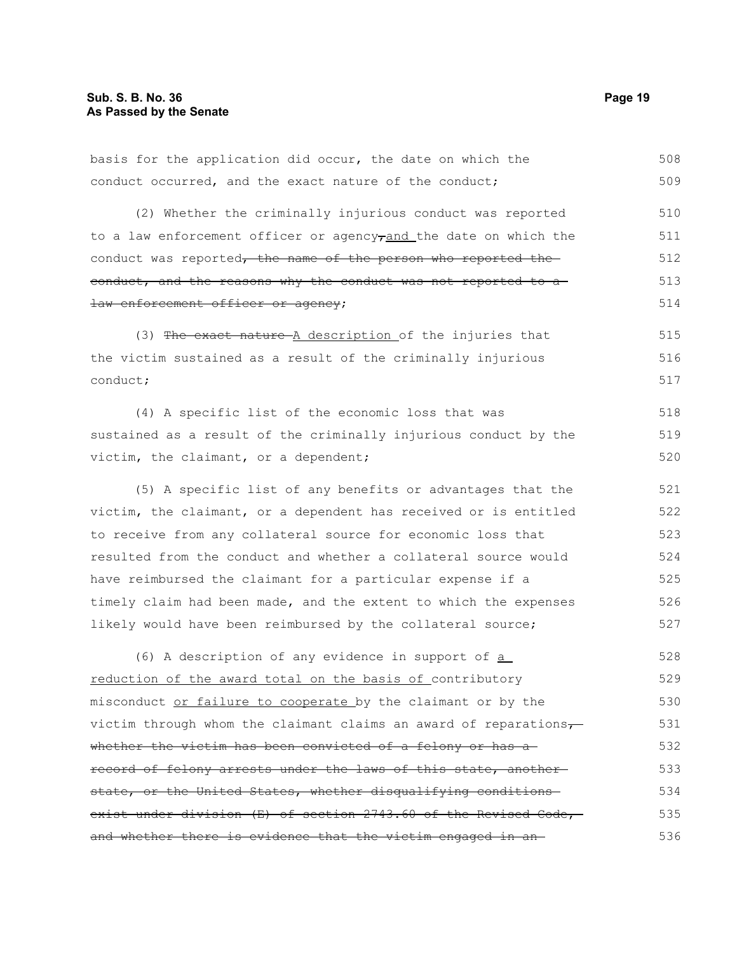conduct occurred, and the exact nature of the conduct; (2) Whether the criminally injurious conduct was reported to a law enforcement officer or agency $\tau$ and the date on which the conduct was reported, the name of the person who reported the conduct, and the reasons why the conduct was not reported to a law enforcement officer or agency; (3) The exact nature A description of the injuries that the victim sustained as a result of the criminally injurious conduct; (4) A specific list of the economic loss that was sustained as a result of the criminally injurious conduct by the victim, the claimant, or a dependent; (5) A specific list of any benefits or advantages that the victim, the claimant, or a dependent has received or is entitled to receive from any collateral source for economic loss that resulted from the conduct and whether a collateral source would have reimbursed the claimant for a particular expense if a timely claim had been made, and the extent to which the expenses likely would have been reimbursed by the collateral source; (6) A description of any evidence in support of a reduction of the award total on the basis of contributory misconduct or failure to cooperate by the claimant or by the victim through whom the claimant claims an award of reparations $\frac{1}{\sqrt{2}}$ whether the victim has been convicted of a felony or has a record of felony arrests under the laws of this state, another state, or the United States, whether disqualifying conditionsexist under division (E) of section 2743.60 of the Revised Code, and whether there is evidence that the victim engaged in an 509 510 511 512 513 514 515 516 517 518 519 520 521 522 523 524 525 526 527 528 529 530 531 532 533 534 535 536

basis for the application did occur, the date on which the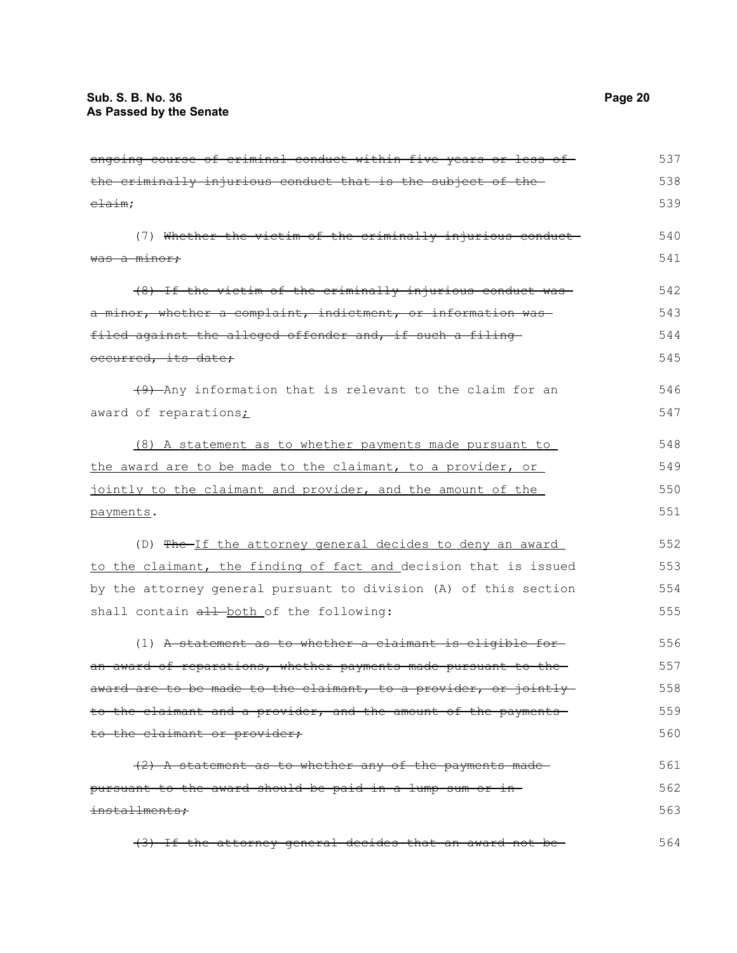| ongoing course of criminal conduct within five years or less of  | 537 |
|------------------------------------------------------------------|-----|
| the criminally injurious conduct that is the subject of the      | 538 |
| $e$ $\frac{1}{2}$ $\frac{1}{2}$ $m$ ;                            | 539 |
| (7) Whether the victim of the criminally injurious conduct-      | 540 |
| <del>was a minor;</del>                                          | 541 |
| (8) If the victim of the criminally injurious conduct was        | 542 |
| a minor, whether a complaint, indictment, or information was     | 543 |
| filed against the alleged offender and, if such a filing         | 544 |
| occurred, its date;                                              | 545 |
| (9) Any information that is relevant to the claim for an         | 546 |
| award of reparations;                                            | 547 |
| (8) A statement as to whether payments made pursuant to          | 548 |
| the award are to be made to the claimant, to a provider, or      | 549 |
| jointly to the claimant and provider, and the amount of the      | 550 |
| payments.                                                        | 551 |
| (D) The If the attorney general decides to deny an award         | 552 |
| to the claimant, the finding of fact and decision that is issued | 553 |
| by the attorney general pursuant to division (A) of this section | 554 |
| shall contain all-both of the following:                         | 555 |
| (1) A statement as to whether a claimant is eligible for-        | 556 |
| an award of reparations, whether payments made pursuant to the   | 557 |
| award are to be made to the claimant, to a provider, or jointly  | 558 |
| to the claimant and a provider, and the amount of the payments   | 559 |
| to the claimant or provider;                                     | 560 |
| (2) A statement as to whether any of the payments made-          | 561 |
| pursuant to the award should be paid in a lump sum or in-        | 562 |
| installments;                                                    | 563 |
| (3) If the attorney general decides that an award not be-        | 564 |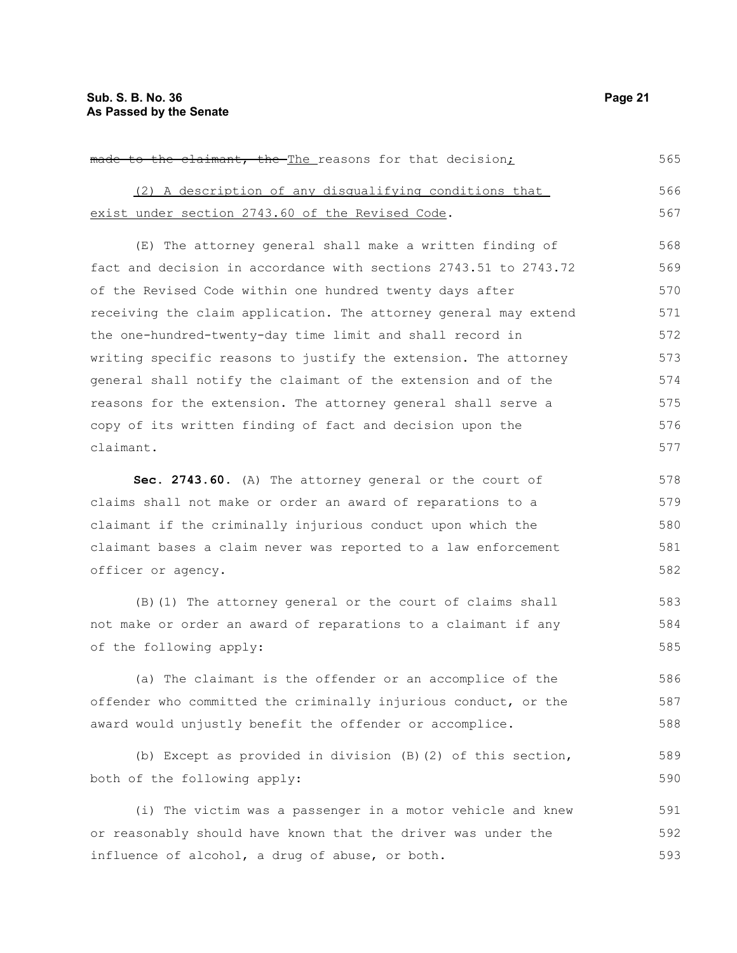| made to the claimant, the The reasons for that decision;         | 565 |
|------------------------------------------------------------------|-----|
| (2) A description of any disqualifying conditions that           | 566 |
| exist under section 2743.60 of the Revised Code.                 | 567 |
| (E) The attorney general shall make a written finding of         | 568 |
| fact and decision in accordance with sections 2743.51 to 2743.72 | 569 |
| of the Revised Code within one hundred twenty days after         | 570 |
| receiving the claim application. The attorney general may extend | 571 |
| the one-hundred-twenty-day time limit and shall record in        | 572 |
| writing specific reasons to justify the extension. The attorney  | 573 |
| general shall notify the claimant of the extension and of the    | 574 |
| reasons for the extension. The attorney general shall serve a    | 575 |
| copy of its written finding of fact and decision upon the        | 576 |
| claimant.                                                        | 577 |
| Sec. 2743.60. (A) The attorney general or the court of           | 578 |
| claims shall not make or order an award of reparations to a      | 579 |
| claimant if the criminally injurious conduct upon which the      | 580 |
| claimant bases a claim never was reported to a law enforcement   | 581 |
| officer or agency.                                               | 582 |

(B)(1) The attorney general or the court of claims shall not make or order an award of reparations to a claimant if any of the following apply: 583 584 585

(a) The claimant is the offender or an accomplice of the offender who committed the criminally injurious conduct, or the award would unjustly benefit the offender or accomplice. 586 587 588

(b) Except as provided in division (B)(2) of this section, both of the following apply:

(i) The victim was a passenger in a motor vehicle and knew or reasonably should have known that the driver was under the influence of alcohol, a drug of abuse, or both. 591 592 593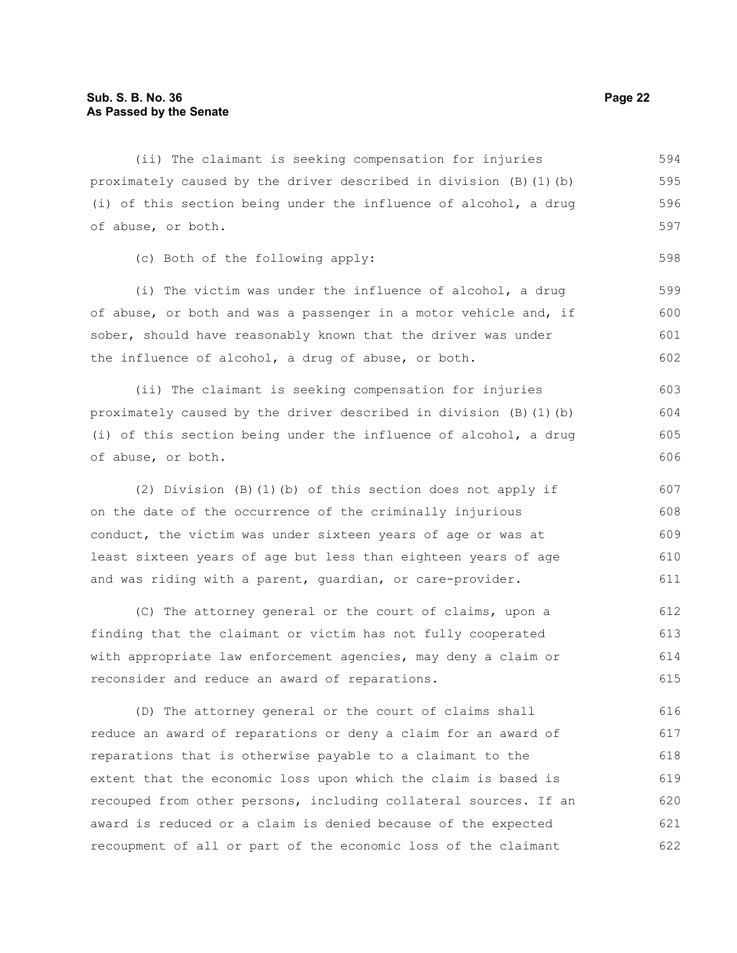(ii) The claimant is seeking compensation for injuries proximately caused by the driver described in division (B)(1)(b) (i) of this section being under the influence of alcohol, a drug of abuse, or both. (c) Both of the following apply: 594 595 596 597 598

(i) The victim was under the influence of alcohol, a drug of abuse, or both and was a passenger in a motor vehicle and, if sober, should have reasonably known that the driver was under the influence of alcohol, a drug of abuse, or both.

(ii) The claimant is seeking compensation for injuries proximately caused by the driver described in division (B)(1)(b) (i) of this section being under the influence of alcohol, a drug of abuse, or both. 603 604 605 606

(2) Division (B)(1)(b) of this section does not apply if on the date of the occurrence of the criminally injurious conduct, the victim was under sixteen years of age or was at least sixteen years of age but less than eighteen years of age and was riding with a parent, guardian, or care-provider. 607 608 609 610 611

(C) The attorney general or the court of claims, upon a finding that the claimant or victim has not fully cooperated with appropriate law enforcement agencies, may deny a claim or reconsider and reduce an award of reparations. 612 613 614 615

(D) The attorney general or the court of claims shall reduce an award of reparations or deny a claim for an award of reparations that is otherwise payable to a claimant to the extent that the economic loss upon which the claim is based is recouped from other persons, including collateral sources. If an award is reduced or a claim is denied because of the expected recoupment of all or part of the economic loss of the claimant 616 617 618 619 620 621 622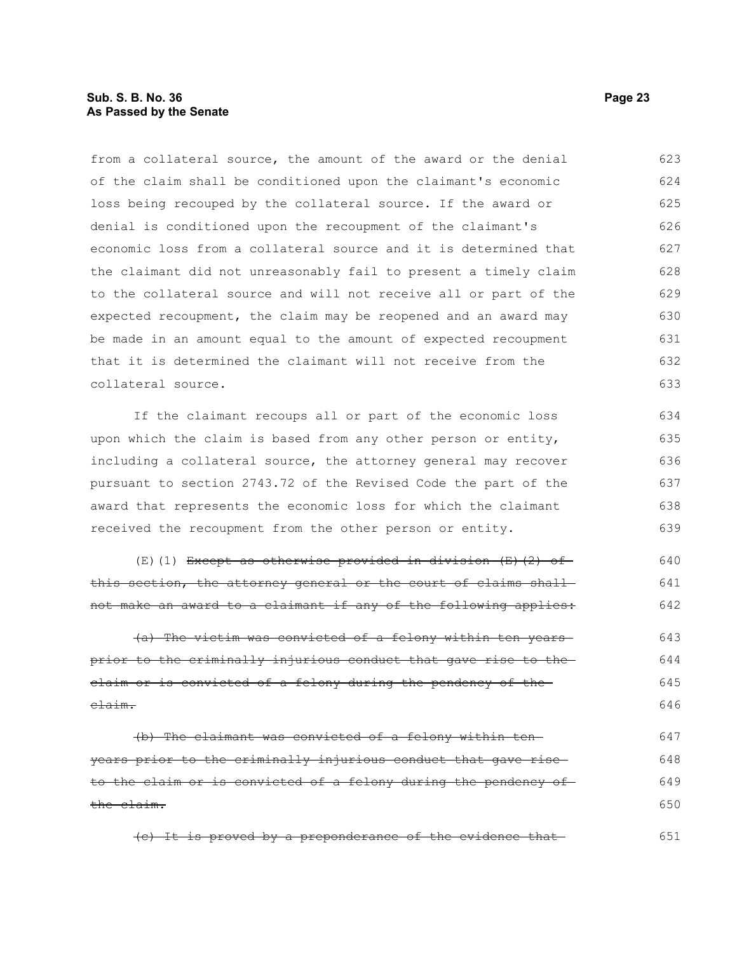#### **Sub. S. B. No. 36 Page 23 As Passed by the Senate**

from a collateral source, the amount of the award or the denial of the claim shall be conditioned upon the claimant's economic loss being recouped by the collateral source. If the award or denial is conditioned upon the recoupment of the claimant's economic loss from a collateral source and it is determined that the claimant did not unreasonably fail to present a timely claim to the collateral source and will not receive all or part of the expected recoupment, the claim may be reopened and an award may be made in an amount equal to the amount of expected recoupment that it is determined the claimant will not receive from the collateral source. 623 624 625 626 627 628 629 630 631 632 633

If the claimant recoups all or part of the economic loss upon which the claim is based from any other person or entity, including a collateral source, the attorney general may recover pursuant to section 2743.72 of the Revised Code the part of the award that represents the economic loss for which the claimant received the recoupment from the other person or entity. 634 635 636 637 638 639

 $(E)$ (1) Except as otherwise provided in division  $(E)$  (2) of this section, the attorney general or the court of claims shallnot make an award to a claimant if any of the following applies: 640 641 642

(a) The victim was convicted of a felony within ten years prior to the criminally injurious conduct that gave rise to the claim or is convicted of a felony during the pendency of the claim. 643 644 645 646

(b) The claimant was convicted of a felony within ten years prior to the criminally injurious conduct that gave rise to the claim or is convicted of a felony during the pendency of the claim. 647 648 649 650

(c) It is proved by a preponderance of the evidence that 651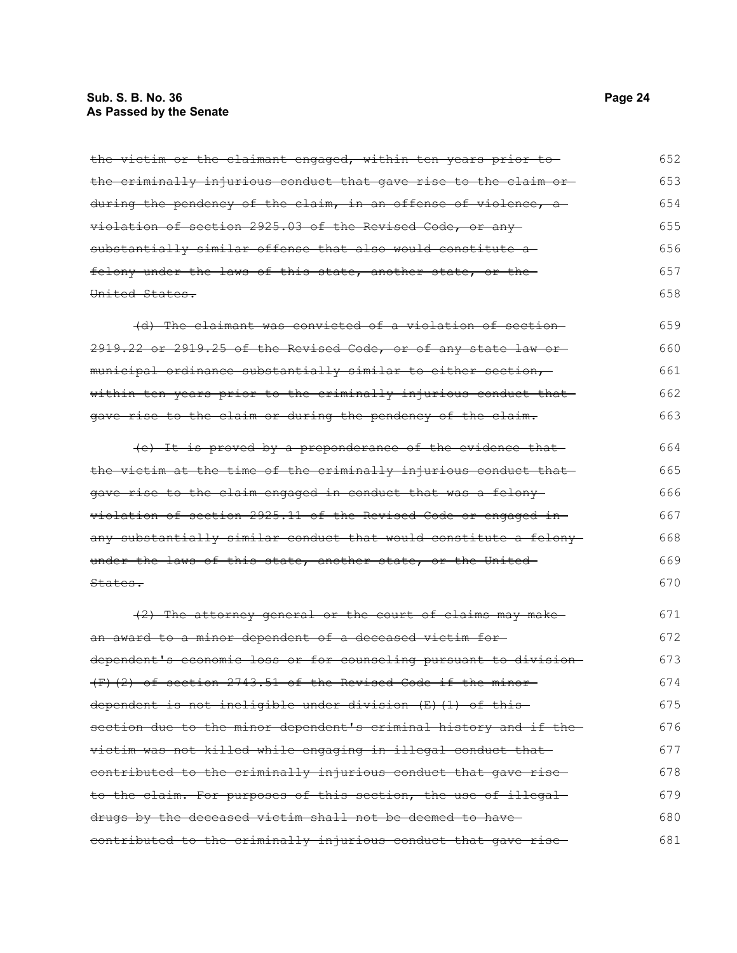### **Sub. S. B. No. 36** Page 24 **As Passed by the Senate**

| the victim or the claimant engaged, within ten years prior to     | 652 |
|-------------------------------------------------------------------|-----|
| the criminally injurious conduct that gave rise to the claim or-  | 653 |
|                                                                   |     |
| during the pendency of the claim, in an offense of violence, a    | 654 |
| violation of section 2925.03 of the Revised Code, or any          | 655 |
| substantially similar offense that also would constitute a-       | 656 |
| felony under the laws of this state, another state, or the-       | 657 |
| United States.                                                    | 658 |
| (d) The claimant was convicted of a violation of section-         | 659 |
|                                                                   |     |
| 2919.22 or 2919.25 of the Revised Code, or of any state law or    | 660 |
| municipal ordinance substantially similar to either section,      | 661 |
| within ten years prior to the criminally injurious conduct that-  | 662 |
| gave rise to the claim or during the pendency of the claim.       | 663 |
| (e) It is proved by a preponderance of the evidence that-         | 664 |
| the victim at the time of the criminally injurious conduct that   | 665 |
| gave rise to the claim engaged in conduct that was a felony-      | 666 |
|                                                                   | 667 |
| violation of section 2925.11 of the Revised Code or engaged in-   |     |
| any substantially similar conduct that would constitute a felony- | 668 |
| under the laws of this state, another state, or the United-       | 669 |
| States.                                                           | 670 |
| (2) The attorney general or the court of claims may make          | 671 |
| an award to a minor dependent of a deceased victim for-           | 672 |
| dependent's economic loss or for counseling pursuant to division  | 673 |
| $(F)$ (2) of section 2743.51 of the Revised Code if the minor     | 674 |
| dependent is not ineligible under division (E)(1) of this         | 675 |
| section due to the minor dependent's criminal history and if the  | 676 |
| victim was not killed while engaging in illegal conduct that      | 677 |
| contributed to the criminally injurious conduct that gave rise-   | 678 |
| to the claim. For purposes of this section, the use of illegal-   | 679 |
| drugs by the deceased victim shall not be deemed to have-         | 680 |
| contributed to the criminally injurious conduct that gave rise-   | 681 |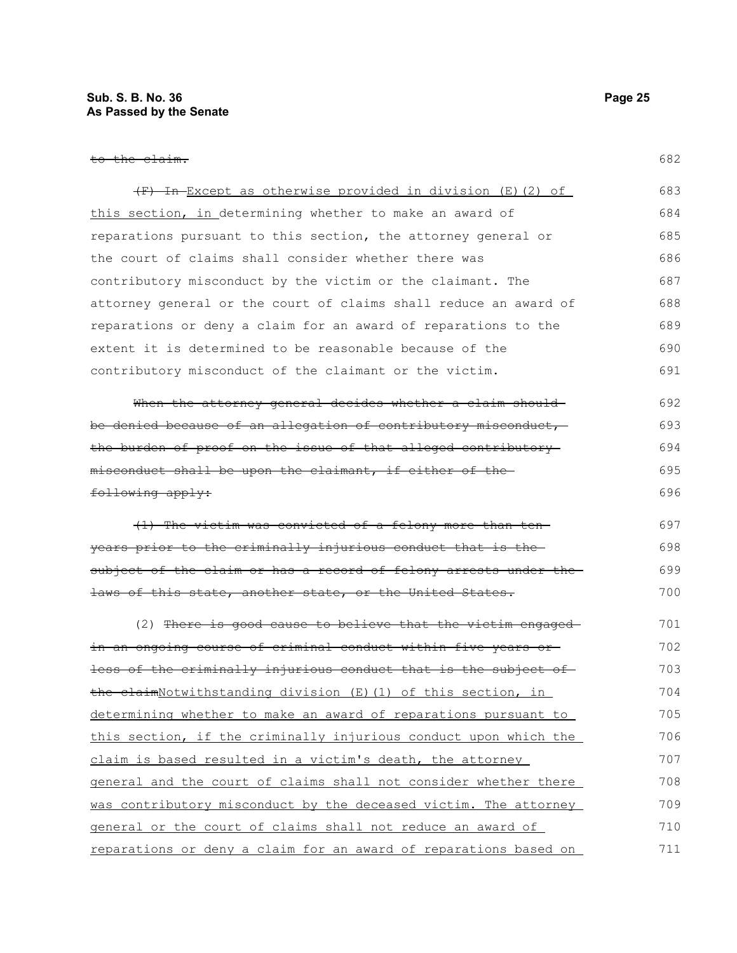| (F) In Except as otherwise provided in division (E) (2) of           | 683 |
|----------------------------------------------------------------------|-----|
| this section, in determining whether to make an award of             | 684 |
| reparations pursuant to this section, the attorney general or        | 685 |
| the court of claims shall consider whether there was                 | 686 |
| contributory misconduct by the victim or the claimant. The           | 687 |
| attorney general or the court of claims shall reduce an award of     | 688 |
| reparations or deny a claim for an award of reparations to the       | 689 |
| extent it is determined to be reasonable because of the              | 690 |
| contributory misconduct of the claimant or the victim.               | 691 |
| When the attorney general decides whether a claim should-            | 692 |
| be denied because of an allegation of contributory misconduct, -     | 693 |
| the burden of proof on the issue of that alleged contributory-       | 694 |
| misconduct shall be upon the claimant, if either of the-             | 695 |
| following apply:                                                     | 696 |
| (1) The victim was convicted of a felony more than ten-              | 697 |
| years prior to the criminally injurious conduct that is the-         | 698 |
| subject of the claim or has a record of felony arrests under the-    | 699 |
| laws of this state, another state, or the United States.             | 700 |
| (2) There is good cause to believe that the victim engaged-          | 701 |
| in an ongoing course of criminal conduct within five years or-       | 702 |
| less of the criminally injurious conduct that is the subject of      | 703 |
| <u>the claimNotwithstanding division (E)(1) of this section, in </u> | 704 |
| determining whether to make an award of reparations pursuant to      | 705 |
| this section, if the criminally injurious conduct upon which the     | 706 |
| claim is based resulted in a victim's death, the attorney            | 707 |
| general and the court of claims shall not consider whether there     | 708 |
| was contributory misconduct by the deceased victim. The attorney     | 709 |
| general or the court of claims shall not reduce an award of          | 710 |
| reparations or deny a claim for an award of reparations based on     | 711 |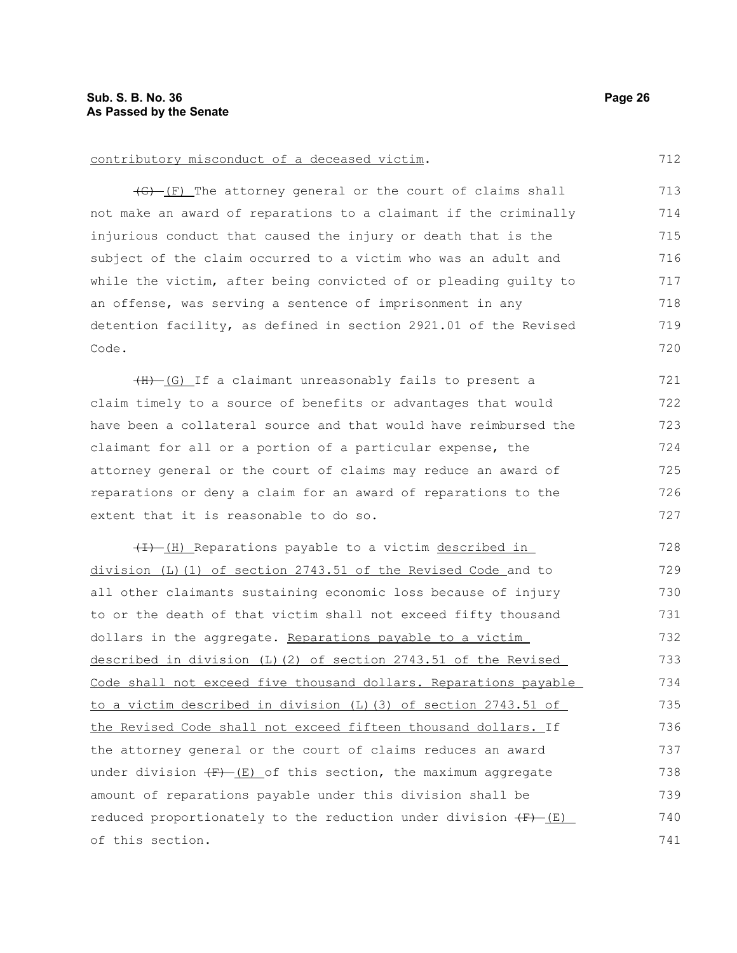#### contributory misconduct of a deceased victim.

(G) (F) The attorney general or the court of claims shall not make an award of reparations to a claimant if the criminally injurious conduct that caused the injury or death that is the subject of the claim occurred to a victim who was an adult and while the victim, after being convicted of or pleading guilty to an offense, was serving a sentence of imprisonment in any detention facility, as defined in section 2921.01 of the Revised Code. 713 714 715 716 717 718 719 720

(H) (G) If a claimant unreasonably fails to present a claim timely to a source of benefits or advantages that would have been a collateral source and that would have reimbursed the claimant for all or a portion of a particular expense, the attorney general or the court of claims may reduce an award of reparations or deny a claim for an award of reparations to the extent that it is reasonable to do so. 721 722 723 724 725 726 727

(I) Reparations payable to a victim described in division (L)(1) of section 2743.51 of the Revised Code and to all other claimants sustaining economic loss because of injury to or the death of that victim shall not exceed fifty thousand dollars in the aggregate. Reparations payable to a victim described in division (L)(2) of section 2743.51 of the Revised Code shall not exceed five thousand dollars. Reparations payable to a victim described in division (L)(3) of section 2743.51 of the Revised Code shall not exceed fifteen thousand dollars. If the attorney general or the court of claims reduces an award under division  $(F)$  (E) of this section, the maximum aggregate amount of reparations payable under this division shall be reduced proportionately to the reduction under division  $(F)$  (E) of this section. 728 729 730 731 732 733 734 735 736 737 738 739 740 741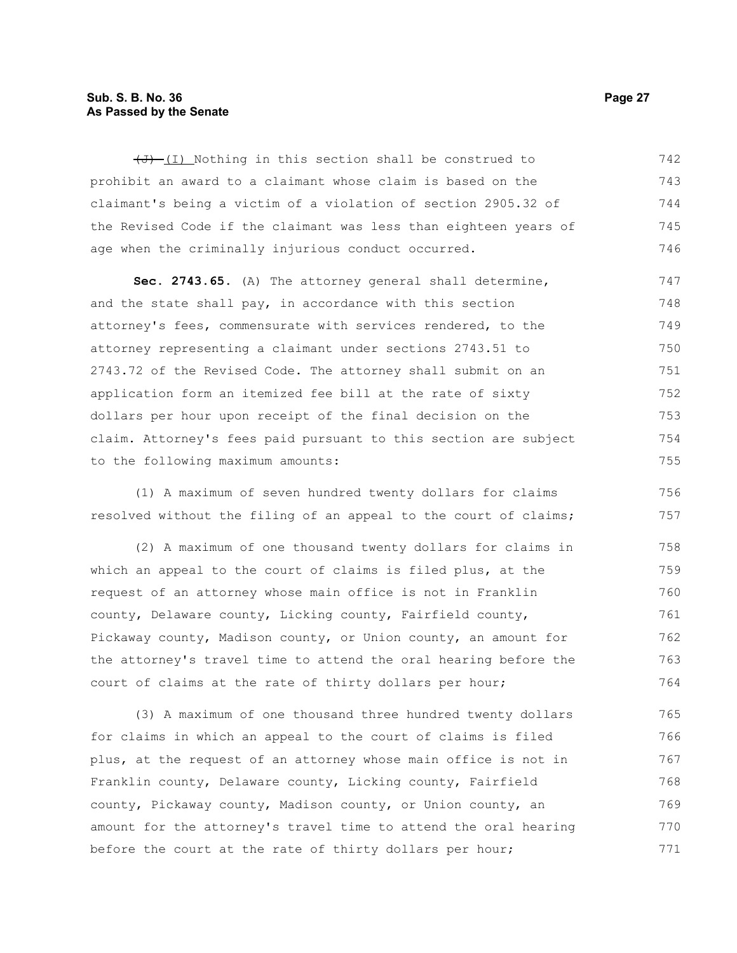#### **Sub. S. B. No. 36 Page 27 As Passed by the Senate**

 $(\overline{J} + (I)$  Nothing in this section shall be construed to prohibit an award to a claimant whose claim is based on the claimant's being a victim of a violation of section 2905.32 of the Revised Code if the claimant was less than eighteen years of age when the criminally injurious conduct occurred. 742 743 744 745 746

**Sec. 2743.65.** (A) The attorney general shall determine, and the state shall pay, in accordance with this section attorney's fees, commensurate with services rendered, to the attorney representing a claimant under sections 2743.51 to 2743.72 of the Revised Code. The attorney shall submit on an application form an itemized fee bill at the rate of sixty dollars per hour upon receipt of the final decision on the claim. Attorney's fees paid pursuant to this section are subject to the following maximum amounts: 747 748 749 750 751 752 753 754 755

(1) A maximum of seven hundred twenty dollars for claims resolved without the filing of an appeal to the court of claims; 756 757

(2) A maximum of one thousand twenty dollars for claims in which an appeal to the court of claims is filed plus, at the request of an attorney whose main office is not in Franklin county, Delaware county, Licking county, Fairfield county, Pickaway county, Madison county, or Union county, an amount for the attorney's travel time to attend the oral hearing before the court of claims at the rate of thirty dollars per hour; 758 759 760 761 762 763 764

(3) A maximum of one thousand three hundred twenty dollars for claims in which an appeal to the court of claims is filed plus, at the request of an attorney whose main office is not in Franklin county, Delaware county, Licking county, Fairfield county, Pickaway county, Madison county, or Union county, an amount for the attorney's travel time to attend the oral hearing before the court at the rate of thirty dollars per hour; 765 766 767 768 769 770 771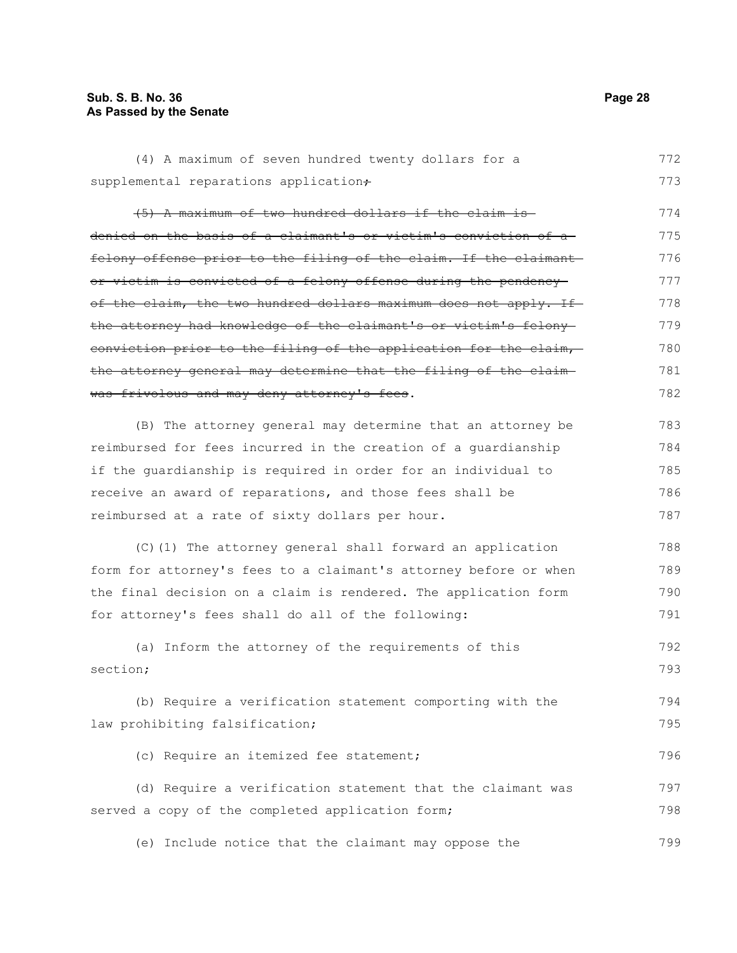#### **Sub. S. B. No. 36 Page 28 As Passed by the Senate**

(4) A maximum of seven hundred twenty dollars for a supplemental reparations application+ (5) A maximum of two hundred dollars if the claim is denied on the basis of a claimant's or victim's conviction of a felony offense prior to the filing of the claim. If the claimant or victim is convicted of a felony offense during the pendency of the claim, the two hundred dollars maximum does not apply. If the attorney had knowledge of the claimant's or victim's felony conviction prior to the filing of the application for the claim, the attorney general may determine that the filing of the claim was frivolous and may deny attorney's fees. (B) The attorney general may determine that an attorney be reimbursed for fees incurred in the creation of a guardianship if the guardianship is required in order for an individual to receive an award of reparations, and those fees shall be reimbursed at a rate of sixty dollars per hour. (C)(1) The attorney general shall forward an application form for attorney's fees to a claimant's attorney before or when the final decision on a claim is rendered. The application form for attorney's fees shall do all of the following: (a) Inform the attorney of the requirements of this section; (b) Require a verification statement comporting with the law prohibiting falsification; (c) Require an itemized fee statement; (d) Require a verification statement that the claimant was 773 774 775 776 777 778 779 780 781 782 783 784 785 786 787 788 789 790 791 792 793 794 795 796 797

(e) Include notice that the claimant may oppose the 799

served a copy of the completed application form;

772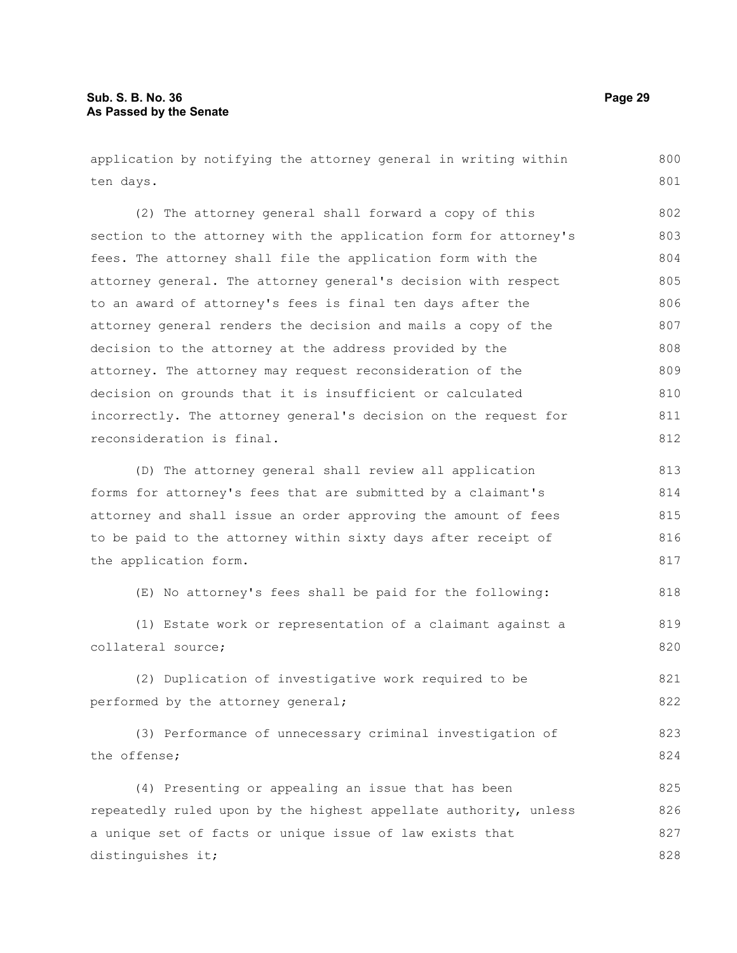application by notifying the attorney general in writing within ten days.

(2) The attorney general shall forward a copy of this section to the attorney with the application form for attorney's fees. The attorney shall file the application form with the attorney general. The attorney general's decision with respect to an award of attorney's fees is final ten days after the attorney general renders the decision and mails a copy of the decision to the attorney at the address provided by the attorney. The attorney may request reconsideration of the decision on grounds that it is insufficient or calculated incorrectly. The attorney general's decision on the request for reconsideration is final. 802 803 804 805 806 807 808 809 810 811 812

(D) The attorney general shall review all application forms for attorney's fees that are submitted by a claimant's attorney and shall issue an order approving the amount of fees to be paid to the attorney within sixty days after receipt of the application form. 813 814 815 816 817

(E) No attorney's fees shall be paid for the following: 818

(1) Estate work or representation of a claimant against a collateral source;

(2) Duplication of investigative work required to be performed by the attorney general;

(3) Performance of unnecessary criminal investigation of the offense; 823 824

(4) Presenting or appealing an issue that has been repeatedly ruled upon by the highest appellate authority, unless a unique set of facts or unique issue of law exists that distinguishes it; 825 826 827 828

800 801

819 820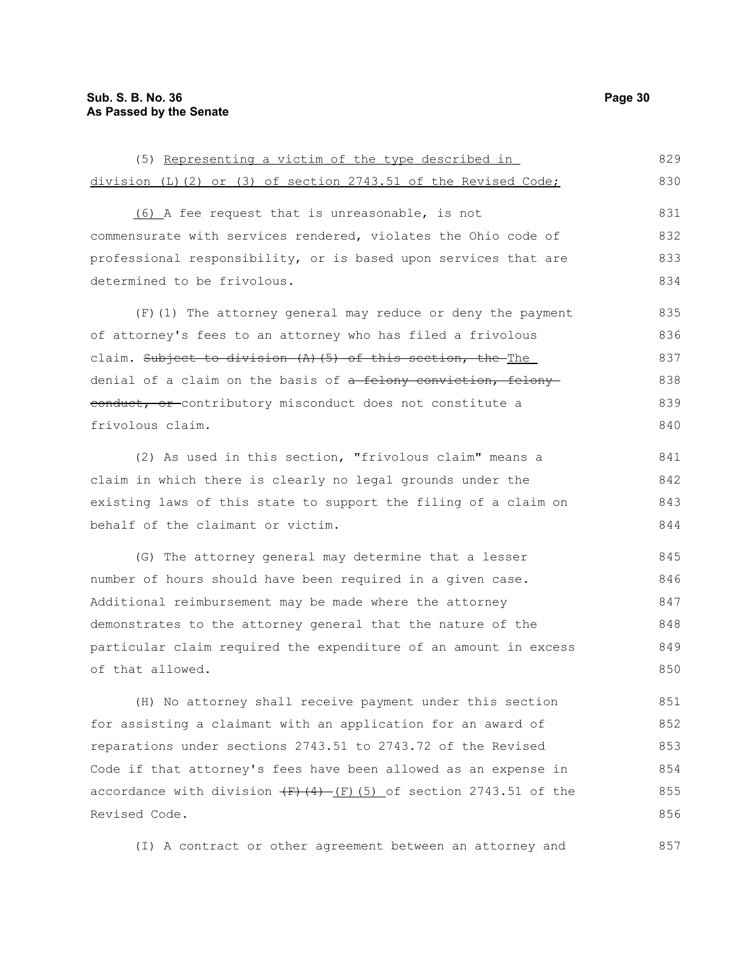division (L)(2) or (3) of section 2743.51 of the Revised Code; (6) A fee request that is unreasonable, is not commensurate with services rendered, violates the Ohio code of professional responsibility, or is based upon services that are determined to be frivolous. (F)(1) The attorney general may reduce or deny the payment

of attorney's fees to an attorney who has filed a frivolous claim. Subject to division (A)(5) of this section, the The denial of a claim on the basis of a felony conviction, felony eonduct, or contributory misconduct does not constitute a frivolous claim. 836 837 838 839 840

(5) Representing a victim of the type described in

(2) As used in this section, "frivolous claim" means a claim in which there is clearly no legal grounds under the existing laws of this state to support the filing of a claim on behalf of the claimant or victim. 841 842 843 844

(G) The attorney general may determine that a lesser number of hours should have been required in a given case. Additional reimbursement may be made where the attorney demonstrates to the attorney general that the nature of the particular claim required the expenditure of an amount in excess of that allowed. 845 846 847 848 849 850

(H) No attorney shall receive payment under this section for assisting a claimant with an application for an award of reparations under sections 2743.51 to 2743.72 of the Revised Code if that attorney's fees have been allowed as an expense in accordance with division  $(F)$   $(4)$   $(F)$   $(5)$  of section 2743.51 of the Revised Code. 851 852 853 854 855 856

(I) A contract or other agreement between an attorney and 857

829 830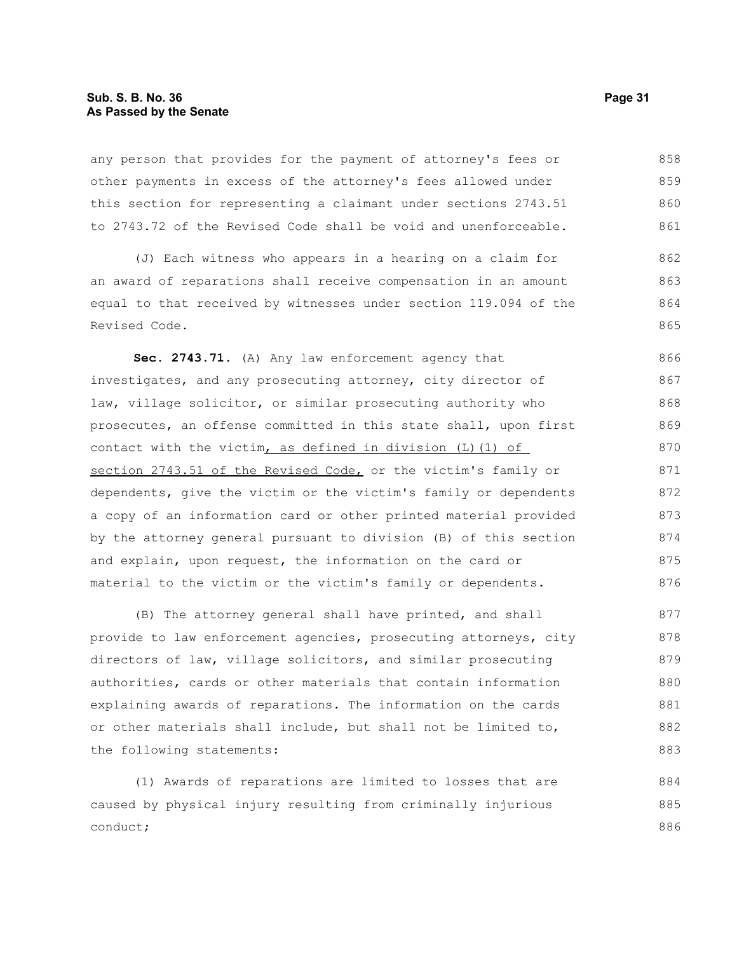#### **Sub. S. B. No. 36 Page 31 As Passed by the Senate**

any person that provides for the payment of attorney's fees or other payments in excess of the attorney's fees allowed under this section for representing a claimant under sections 2743.51 to 2743.72 of the Revised Code shall be void and unenforceable. 858 859 860 861

(J) Each witness who appears in a hearing on a claim for an award of reparations shall receive compensation in an amount equal to that received by witnesses under section 119.094 of the Revised Code. 862 863 864 865

**Sec. 2743.71.** (A) Any law enforcement agency that investigates, and any prosecuting attorney, city director of law, village solicitor, or similar prosecuting authority who prosecutes, an offense committed in this state shall, upon first contact with the victim, as defined in division  $(L)$  (1) of section 2743.51 of the Revised Code, or the victim's family or dependents, give the victim or the victim's family or dependents a copy of an information card or other printed material provided by the attorney general pursuant to division (B) of this section and explain, upon request, the information on the card or material to the victim or the victim's family or dependents. 866 867 868 869 870 871 872 873 874 875 876

(B) The attorney general shall have printed, and shall provide to law enforcement agencies, prosecuting attorneys, city directors of law, village solicitors, and similar prosecuting authorities, cards or other materials that contain information explaining awards of reparations. The information on the cards or other materials shall include, but shall not be limited to, the following statements: 877 878 879 880 881 882 883

(1) Awards of reparations are limited to losses that are caused by physical injury resulting from criminally injurious conduct; 884 885 886